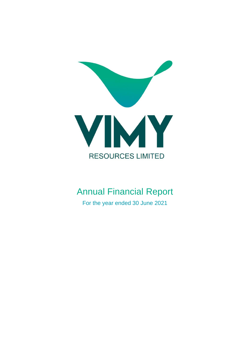

# Annual Financial Report

For the year ended 30 June 2021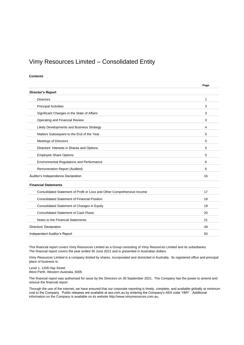# Vimy Resources Limited – Consolidated Entity

#### **Contents**

|                                                                         | Page |
|-------------------------------------------------------------------------|------|
| <b>Director's Report</b>                                                |      |
| <b>Directors</b>                                                        | 1    |
| <b>Principal Activities</b>                                             | 3    |
| Significant Changes in the State of Affairs                             | 3    |
| Operating and Financial Review                                          | 3    |
| Likely Developments and Business Strategy                               | 4    |
| Matters Subsequent to the End of the Year                               | 5    |
| <b>Meetings of Directors</b>                                            | 5    |
| Directors' Interests in Shares and Options                              | 5    |
| <b>Employee Share Options</b>                                           | 5    |
| Environmental Regulations and Performance                               | 6    |
| Remuneration Report (Audited)                                           | 6    |
| Auditor's Independence Declaration                                      | 16   |
| <b>Financial Statements</b>                                             |      |
| Consolidated Statement of Profit or Loss and Other Comprehensive Income | 17   |
| <b>Consolidated Statement of Financial Position</b>                     | 18   |
| Consolidated Statement of Changes in Equity                             | 19   |
| <b>Consolidated Statement of Cash Flows</b>                             | 20   |
| Notes to the Financial Statements                                       | 21   |
| Directors' Declaration                                                  | 49   |
| Independent Auditor's Report                                            | 50   |

This financial report covers Vimy Resources Limited as a Group consisting of Vimy Resources Limited and its subsidiaries. The financial report covers the year ended 30 June 2021 and is presented in Australian dollars.

Vimy Resources Limited is a company limited by shares, incorporated and domiciled in Australia. Its registered office and principal place of business is:

Level 1, 1209 Hay Street West Perth, Western Australia, 6005

The financial report was authorised for issue by the Directors on 30 September 2021. The Company has the power to amend and reissue the financial report.

Through the use of the internet, we have ensured that our corporate reporting is timely, complete, and available globally at minimum cost to the Company. Public releases are available at asx.com.au by entering the Company's ASX code 'VMY'. Additional information on the Company is available on its website http://www.vimyresources.com.au.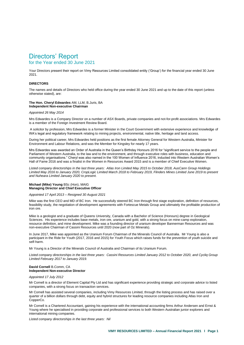# for the Year ended 30 June 2021

Your Directors present their report on Vimy Resources Limited consolidated entity ('Group') for the financial year ended 30 June 2021.

#### <span id="page-2-0"></span>**DIRECTORS**

The names and details of Directors who held office during the year ended 30 June 2021 and up to the date of this report (unless otherwise stated), are:

#### **The Hon. Cheryl Edwardes** AM, LLM, B.Juris, BA **Independent Non-executive Chairman**

#### *Appointed 26 May 2014*

Mrs Edwardes is a Company Director on a number of ASX Boards, private companies and not-for-profit associations. Mrs Edwardes is a member of the Foreign Investment Review Board.

A solicitor by profession, Mrs Edwardes is a former Minister in the Court Government with extensive experience and knowledge of WA's legal and regulatory framework relating to mining projects, environmental, native title, heritage and land access.

During her political career, Mrs Edwardes held positions as the first female Attorney General for Western Australia, Minister for Environment and Labour Relations, and was the Member for Kingsley for nearly 17 years.

Mrs Edwardes was awarded an Order of Australia in the Queen's Birthday Honours 2016 for "significant service to the people and Parliament of Western Australia, to the law and to the environment, and through executive roles with business, education and community organisations." Cheryl was also named in the 100 Women of Influence 2016, inducted into Western Australian Women's Hall of Fame 2016 and was a finalist in the Women in Resources Award 2015 and is a member of Chief Executive Women.

*Listed company directorships in the last three years: Atlas Iron Limited May 2015 to October 2018, AusCann Group Holdings Limited May 2016 to January 2020, CropLogic Limited March 2018 to February 2019, Flinders Mines Limited June 2019 to present and Nuheara Limited January 2020 to present.*

#### **Michael (Mike) Young** BSc (Hon), MAIG **Managing Director and Chief Executive Officer**

#### *Appointed 17 April 2013 – Resigned 30 August 2021*

Mike was the first CEO and MD of BC Iron. He successfully steered BC Iron through first stage exploration, definition of resources, feasibility study, the negotiation of development agreements with Fortescue Metals Group and ultimately the profitable production of iron ore.

Mike is a geologist and a graduate of Queens University, Canada with a Bachelor of Science (Honours) degree in Geological Sciences. His experience includes base metals, iron ore, uranium and gold, with a strong focus on mine-camp exploration, resource definition, and mine development. Mike was a founding director of uranium developer Bannerman Resources and was non-executive Chairman of Cassini Resources until 2020 (now part of Oz Minerals).

In June 2017, Mike was appointed as the Uranium Forum Chairman of the Minerals Council of Australia. Mr Young is also a participant in the Ride for Youth (2017, 2016 and 2015) for Youth Focus which raises funds for the prevention of youth suicide and self-harm.

Mr Young is a Director of the Minerals Council of Australia and Chairman of its Uranium Forum.

*Listed company directorships in the last three years: Cassini Resources Limited January 2012 to October 2020, and Cycliq Group Limited February 2017 to January 2019.*

#### **David Cornell** B.Comm, CA **Independent Non-executive Director**

#### *Appointed 17 July 2012*

Mr Cornell is a director of Element Capital Pty Ltd and has significant experience providing strategic and corporate advice to listed companies, with a strong focus on transaction services.

Mr Cornell has assisted several companies, including Vimy Resources Limited, through the listing process and has raised over a quarter of a billion dollars through debt, equity and hybrid structures for leading resource companies including Atlas Iron and CopperCo.

Mr Cornell is a Chartered Accountant, gaining his experience with the international accounting firms Arthur Andersen and Ernst & Young where he specialised in providing corporate and professional services to both Western Australian junior explorers and international mining companies.

*Listed company directorships in the last three years: Nil*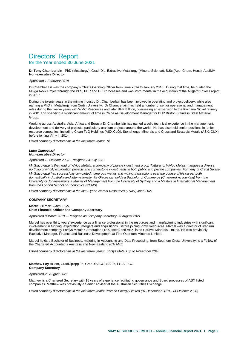# Directors' Report for the Year ended 30 June 2021

**Dr Tony Chamberlain** PhD (Metallurgy), Grad. Dip. Extractive Metallurgy (Mineral Science), B.Sc (App. Chem. Hons), AusIMM. **Non-executive Director**

#### *Appointed 1 February 2019*

Dr Chamberlain was the company's Chief Operating Officer from June 2014 to January 2018. During that time, he guided the Mulga Rock Project through the PFS, PER and DFS processes and was instrumental in the acquisition of the Alligator River Project in 2017.

During the twenty years in the mining industry Dr. Chamberlain has been involved in operating and project delivery, while also earning a PhD in Metallurgy from Curtin University. Dr Chamberlain has held a number of senior operational and management roles during the twelve years with WMC Resources and later BHP Billiton, overseeing an expansion to the Kwinana Nickel refinery in 2001 and spending a significant amount of time in China as Development Manager for BHP Billiton Stainless Steel Material Group.

Working across Australia, Asia, Africa and Eurasia Dr Chamberlain has gained a solid technical experience in the management, development and delivery of projects, particularly uranium projects around the world. He has also held senior positions in junior resource companies, including Clean TeQ Holdings (ASX:CLQ), Stonehenge Minerals and Crossland Strategic Metals (ASX: CUX) before joining Vimy in 2014.

*Listed company directorships in the last three years: Nil*

#### *Luca Giacovazzi Non-executive Director*

*Appointed 19 October 2020 – resigned 23 July 2021*

*Mr Giacovazzi is the head of Wyloo Metals, a company of private investment group Tattarang. Wyloo Metals manages a diverse portfolio of wholly exploration projects and cornerstone investments in both public and private companies. Formerly of Credit Suisse, Mr Giacovazzi has successfully completed numerous metals and mining transactions over the course of his career both domestically in Australia and internationally. Mr Giacovazzi holds a Bachelor of Commerce (Chartered Accounting) from the University of Johannesburg, a Master of Management from the University of Sydney and a Masters in International Management from the London School of Economics (CEMS)*

*Listed company directorships in the last 3 year: Noront Resources (TSXV) June 2021*

#### **COMPANY SECRETARY**

#### **Marcel Hilmer** BCom, FCA **Chief Financial Officer and Company Secretary**

*Appointed 8 March 2019 – Resigned as Company Secretary 25 August 2021*

Marcel has over thirty years' experience as a finance professional in the resources and manufacturing industries with significant involvement in funding, exploration, mergers and acquisitions. Before joining Vimy Resources, Marcel was a director of uranium development company Forsys Metals Corporation (TSX-listed) and ASX-listed Caravel Minerals Limited. He was previously Executive Manager, Finance and Business Development at First Quantum Minerals Limited.

Marcel holds a Bachelor of Business, majoring in Accounting and Data Processing, from Southern Cross University; is a Fellow of the Chartered Accountants Australia and New Zealand (CA ANZ)

*Listed company directorships in the last three years: Forsys Metals up to November 2018*

#### **Matthew Foy** BCom, GradDipAppFin, GradDipACG, SAFin, FGIA, FCG **Company Secretary**

#### *Appointed 25 August 2021*

Matthew is a Chartered Secretary with 15 years of experience facilitating governance and Board processes of ASX listed companies. Matthew was previously a Senior Adviser at the Australian Securities Exchange.

*Listed company directorships in the last three years: Protean Energy Limited (31 December 2019 - 14 October 2020)*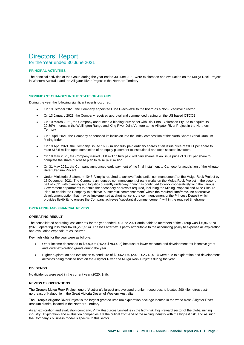# Directors' Report for the Year ended 30 June 2021

#### <span id="page-4-0"></span>**PRINCIPAL ACTIVITIES**

The principal activities of the Group during the year ended 30 June 2021 were exploration and evaluation on the Mulga Rock Project in Western Australia and the Alligator River Project in the Northern Territory.

#### <span id="page-4-1"></span>**SIGNIFICANT CHANGES IN THE STATE OF AFFAIRS**

During the year the following significant events occurred:

- On 19 October 2020, the Company appointed Luca Giacovazzi to the board as a Non-Executive director
- On 13 January 2021, the Company received approval and commenced trading on the US based OTCQB
- On 10 March 2021, the Company announced a binding term sheet with Rio Tinto Exploration Pty Ltd to acquire its 20.89% interest in the Wellington Range and King River Joint Venture at the Alligator River Project in the Northern **Territory**
- On 1 April 2021, the Company announced its inclusion into the index composition of the North Shore Global Uranium Mining Index
- On 19 April 2021, the Company issued 168.2 million fully paid ordinary shares at an issue price of \$0.11 per share to raise \$18.5 million upon completion of an equity placement to institutional and sophisticated investors
- On 18 May 2021, the Company issued 81.8 million fully paid ordinary shares at an issue price of \$0.11 per share to complete the share purchase plan to raise \$9.0 million
- On 31 May 2021, the Company announced early payment of the final instalment to Cameco for acquisition of the Alligator River Uranium Project
- Under Ministerial Statement 1046, Vimy is required to achieve "substantial commencement" at the Mulga Rock Project by 16 December 2021. The Company announced commencement of early works on the Mulga Rock Project in the second half of 2021 with planning and logistics currently underway. Vimy has continued to work cooperatively with the various Government departments to obtain the secondary approvals required, including the Mining Proposal and Mine Closure Plan, to enable the Company to achieve "substantial commencement" within the required timeframe. An alternative development option that may be implemented at short notice is the commencement of the Princess Deposit which provides flexibility to ensure the Company achieves "substantial commencement" within the required timeframe.

#### <span id="page-4-2"></span>**OPERATING AND FINANCIAL REVIEW**

#### **OPERATING RESULT**

The consolidated operating loss after tax for the year ended 30 June 2021 attributable to members of the Group was \$ 6,869,370 (2020: operating loss after tax \$6,296,514). The loss after tax is partly attributable to the accounting policy to expense all exploration and evaluation expenditure as incurred.

Key highlights for the year were as follows:

- Other income decreased to \$309,905 (2020: \$793,492) because of lower research and development tax incentive grant and lower exploration grants during the year.
- Higher exploration and evaluation expenditure of \$3,062,170 (2020: \$2,713,513) were due to exploration and development activities being focused both on the Alligator River and Mulga Rock Projects during the year.

#### **DIVIDENDS**

No dividends were paid in the current year (2020: \$nil).

#### **REVIEW OF OPERATIONS**

The Group's Mulga Rock Project, one of Australia's largest undeveloped uranium resources, is located 290 kilometres eastnortheast of Kalgoorlie in the Great Victoria Desert of Western Australia.

The Group's Alligator River Project is the largest granted uranium exploration package located in the world class Alligator River uranium district, located in the Northern Territory.

As an exploration and evaluation company, Vimy Resources Limited is in the high-risk, high-reward sector of the global mining industry. Exploration and evaluation companies are the critical front-end of the mining industry with the highest risk, and as such the Company's business model is specific to this sector.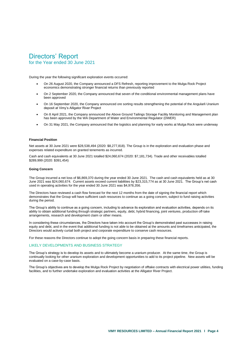# for the Year ended 30 June 2021

During the year the following significant exploration events occurred:

- On 26 August 2020, the Company announced a DFS Refresh, reporting improvement to the Mulga Rock Project economics demonstrating stronger financial returns than previously reported
- On 2 September 2020, the Company announced that seven of the conditional environmental management plans have been approved
- On 16 September 2020, the Company announced ore sorting results strengthening the potential of the Angularli Uranium deposit at Vimy's Alligator River Project
- On 8 April 2021, the Company announced the Above Ground Tailings Storage Facility Monitoring and Management plan has been approved by the WA Department of Water and Environmental Regulator (DWER)
- On 31 May 2021, the Company announced that the logistics and planning for early works at Mulga Rock were underway

#### **Financial Position**

Net assets at 30 June 2021 were \$28,538,494 (2020: \$8,277,818). The Group is in the exploration and evaluation phase and expenses related expenditure on granted tenements as incurred.

Cash and cash equivalents at 30 June 2021 totalled \$24,060,674 (2020: \$7,181,734). Trade and other receivables totalled \$289,999 (2020: \$391,454)

#### **Going Concern**

The Group incurred a net loss of \$6,869,370 during the year ended 30 June 2021. The cash and cash equivalents held as at 30 June 2021 was \$24,060,674. Current assets exceed current liabilities by \$23,315,774 as at 30 June 2021. The Group's net cash used in operating activities for the year ended 30 June 2021 was \$4,978,356.

The Directors have reviewed a cash flow forecast for the next 12 months from the date of signing the financial report which demonstrates that the Group will have sufficient cash resources to continue as a going concern, subject to fund raising activities during the period.

The Group's ability to continue as a going concern, including to advance its exploration and evaluation activities, depends on its ability to obtain additional funding through strategic partners, equity, debt, hybrid financing, joint ventures, production off-take arrangements, research and development claim or other means.

In considering these circumstances, the Directors have taken into account the Group's demonstrated past successes in raising equity and debt, and in the event that additional funding is not able to be obtained at the amounts and timeframes anticipated, the Directors would actively curtail both project and corporate expenditure to conserve cash resources.

For these reasons the Directors continue to adopt the going concern basis in preparing these financial reports.

#### <span id="page-5-0"></span>LIKELY DEVELOPMENTS AND BUSINESS STRATEGY

The Group's strategy is to develop its assets and to ultimately become a uranium producer. At the same time, the Group is continually looking for other uranium exploration and development opportunities to add to its project pipeline. New assets will be evaluated on a case-by-case basis.

The Group's objectives are to develop the Mulga Rock Project by negotiation of offtake contracts with electrical power utilities, funding facilities, and to further undertake exploration and evaluation activities at the Alligator River Project.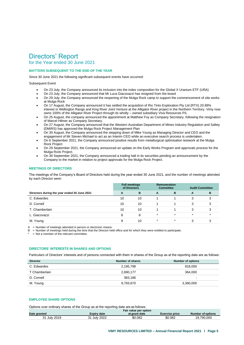# for the Year ended 30 June 2021

## <span id="page-6-0"></span>**MATTERS SUBSEQUENT TO THE END OF THE YEAR**

Since 30 June 2021 the following significant subsequent events have occurred:

#### Subsequent Event

- On 23 July, the Company announced its inclusion into the index composition for the Global X Uranium ETF (URA)
- On 23 July, the Company announced that Mr Luca Giacovazzi has resigned from the board
- On 29 July, the Company announced the reopening of the Mulga Rock camp to support the commencement of site works at Mulga Rock
- On 17 August, the Company announced it has settled the acquisition of Rio Tinto Exploration Pty Ltd (RTX) 20.89% interest in Wellington Range and King River Joint Venture at the Alligator River project in the Northern Territory. Vimy now owns 100% of the Alligator River Project through its wholly – owned subsidiary Viva Resources P/L
- On 25 August, the company announced the appointment at Matthew Foy as Company Secretary, following the resignation of Marcel Hilmer as Company Secretary.
- On 27 August, the Company announced that the Western Australian Department of Mines Industry Regulation and Safety (DMIRS) has approved the Mulga Rock Project Management Plan
- On 30 August, the Company announced the stepping down of Mike Young as Managing Director and CEO and the engagement of Mr Steven Michael to act as an Interim CEO while an executive search process is undertaken.
- On 6 September 2021, the Company announced positive results from metallurgical optimisation testwork at the Mulga Rock Project
- On 29 September 2021, the Company announced an update on the Early Works Program and approvals process for the Mulga Rock Project.
- On 30 September 2021, the Company announced a trading halt in its securities pending an announcement by the Company to the market in relation to project approvals for the Mulga Rock Project.

### <span id="page-6-1"></span>**MEETINGS OF DIRECTORS**

The meetings of the Company's Board of Directors held during the year ended 30 June 2021, and the number of meetings attended by each Director were:

|                                              | of Directors | <b>Full meetings</b> |         | <b>Remuneration</b><br><b>Committee</b> | <b>Audit Committee</b> |         |
|----------------------------------------------|--------------|----------------------|---------|-----------------------------------------|------------------------|---------|
| Directors during the year ended 30 June 2021 | A            | в                    | A       | в                                       | A                      | в       |
| C. Edwardes                                  | 10           | 10                   |         |                                         | 3                      |         |
| D. Cornell                                   | 10           | 10                   |         |                                         | 3                      |         |
| T. Chamberlain                               | 10           | 10                   |         |                                         | 3                      |         |
| L. Giacovazzi                                | 8            | 8                    | $\star$ | $\star$                                 | $\star$                | $\star$ |
| M. Young                                     | 9            | 10                   | $\star$ | $\star$                                 | 3                      | ◠       |

 $A =$  Number of meetings attended in person or electronic means.

B = Number of meetings held during the time that the Director held office and for which they were entitled to participate.

<span id="page-6-2"></span>\* = Not a member of the relevant committee.

### **DIRECTORS' INTERESTS IN SHARES AND OPTIONS**

Particulars of Directors' interests and of persons connected with them in shares of the Group as at the reporting date are as follows:

| <b>Director</b> | Number of shares | <b>Number of options</b> |
|-----------------|------------------|--------------------------|
| C. Edwardes     | 2,195,798        | 818,000                  |
| T Chamberlain   | 2,690,177        | 364.000                  |
| D. Cornell      | 383.186          | $\sim$                   |
| M. Young        | 9,793,670        | 3,360,000                |

### <span id="page-6-3"></span>**EMPLOYEE SHARE OPTIONS**

Options over ordinary shares of the Group as at the reporting date are as follows:

|              | Fair value per option |               |                       |                   |  |  |  |
|--------------|-----------------------|---------------|-----------------------|-------------------|--|--|--|
| Date granted | Expirv date           | at grant date | <b>Exercise price</b> | Number of options |  |  |  |
| 31 July 2019 | July 2022             | \$0.082       | \$0.082               | 19.790.000        |  |  |  |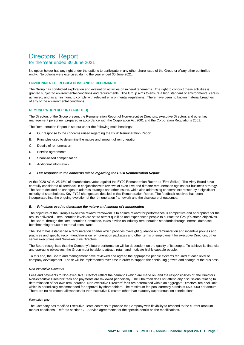## for the Year ended 30 June 2021

No option holder has any right under the options to participate in any other share issue of the Group or of any other controlled entity. No options were exercised during the year ended 30 June 2021.

#### **ENVIRONMENTAL REGULATIONS AND PERFORMANCE**

The Group has conducted exploration and evaluation activities on mineral tenements. The right to conduct these activities is granted subject to environmental conditions and requirements. The Group aims to ensure a high standard of environmental care is achieved, and as a minimum, to comply with relevant environmental regulations. There have been no known material breaches of any of the environmental conditions.

#### <span id="page-7-0"></span>**REMUNERATION REPORT (AUDITED)**

The Directors of the Group present the Remuneration Report of Non-executive Directors, executive Directors and other key management personnel, prepared in accordance with the Corporation Act 2001 and the Corporation Regulations 2001.

The Remuneration Report is set out under the following main headings:

- A. Our response to the concerns raised regarding the FY20 Remuneration Report
- B. Principles used to determine the nature and amount of remuneration
- C. Details of remuneration
- D. Service agreements
- E. Share-based compensation
- F. Additional information

#### *A. Our response to the concerns raised regarding the FY20 Remuneration Report*

At the 2020 AGM, 25.75% of shareholders voted against the FY20 Remuneration Report (a 'First Strike'). The Vimy Board have carefully considered all feedback in conjunction with reviews of executive and director remuneration against our business strategy. The Board decided on changes to address strategic and other issues, while also addressing concerns expressed by a significant minority of shareholders. Key FY22 changes are detailed in this Remuneration Report. The feedback received has been incorporated into the ongoing evolution of the remuneration framework and the disclosure of outcomes.

#### *B. Principles used to determine the nature and amount of remuneration*

The objective of the Group's executive reward framework is to ensure reward for performance is competitive and appropriate for the results delivered. Remuneration levels are set to attract qualified and experienced people to pursue the Group's stated objectives. The Board, through the Remuneration Committee, takes advice on industry remuneration standards through internal database benchmarking or use of external consultants.

The Board has established a remuneration charter which provides oversight guidance on remuneration and incentive policies and practices and specific recommendations on remuneration packages and other terms of employment for executive Directors, other senior executives and Non-executive Directors.

The Board recognises that the Company's future performance will be dependent on the quality of its people. To achieve its financial and operating objectives, the Group must be able to attract, retain and motivate highly capable people.

To this end, the Board and management have reviewed and agreed the appropriate people systems required at each level of company development. These will be implemented over time in order to support the continuing growth and change of the business.

#### *Non-executive Directors*

Fees and payments to Non-executive Directors reflect the demands which are made on, and the responsibilities of, the Directors. Non-executive Directors' fees and payments are reviewed periodically. The Chairman does not attend any discussions relating to determination of her own remuneration. Non-executive Directors' fees are determined within an aggregate Directors' fee pool limit, which is periodically recommended for approval by shareholders. The maximum fee pool currently stands at \$500,000 per annum. There are no retirement allowances for Non-executive Directors other than statutory superannuation contributions.

#### *Executive pay*

The Company has modified Executive Team contracts to provide the Company with flexibility to respond to the current uranium market conditions. Refer to section C – Service agreements for the specific details on the modifications.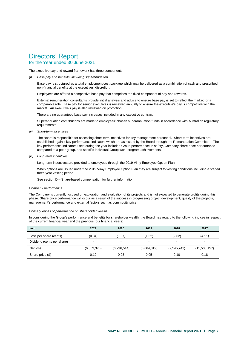# for the Year ended 30 June 2021

The executive pay and reward framework has three components:

*(i) Base pay and benefits, including superannuation*

Base pay is structured as a total employment cost package which may be delivered as a combination of cash and prescribed non-financial benefits at the executives' discretion.

Employees are offered a competitive base pay that comprises the fixed component of pay and rewards.

External remuneration consultants provide initial analysis and advice to ensure base pay is set to reflect the market for a comparable role. Base pay for senior executives is reviewed annually to ensure the executive's pay is competitive with the market. An executive's pay is also reviewed on promotion.

There are no guaranteed base pay increases included in any executive contract.

Superannuation contributions are made to employees' chosen superannuation funds in accordance with Australian regulatory requirements.

*(ii) Short-term incentives*

The Board is responsible for assessing short-term incentives for key management personnel. Short-term incentives are established against key performance indicators which are assessed by the Board through the Remuneration Committee. The key performance indicators used during the year included Group performance in safety, Company share price performance compared to a peer group, and specific individual Group work program achievements.

*(iii) Long-term incentives*

Long-term incentives are provided to employees through the 2019 Vimy Employee Option Plan.

When options are issued under the 2019 Vimy Employee Option Plan they are subject to vesting conditions including a staged three year vesting period.

See section D – Share-based compensation for further information.

#### *Company performance*

The Company is currently focused on exploration and evaluation of its projects and is not expected to generate profits during this phase. Share price performance will occur as a result of the success in progressing project development, quality of the projects, management's performance and external factors such as commodity price.

#### *Consequences of performance on shareholder wealth*

In considering the Group's performance and benefits for shareholder wealth, the Board has regard to the following indices in respect of the current financial year and the previous four financial years:

| <b>Item</b>                | 2021        | 2020           | 2019                     | 2018                     | 2017                     |
|----------------------------|-------------|----------------|--------------------------|--------------------------|--------------------------|
| Loss per share (cents)     | (0.84)      | (1.07)         | (1.52)                   | (2.62)                   | (4.11)                   |
| Dividend (cents per share) | -           | $\blacksquare$ | $\overline{\phantom{0}}$ | $\overline{\phantom{a}}$ | $\overline{\phantom{0}}$ |
| Net loss                   | (6,869,370) | (6, 296, 514)  | (6,864,312)              | (9,545,741)              | (11,500,157)             |
| Share price (\$)           | 0.12        | 0.03           | 0.05                     | 0.10                     | 0.18                     |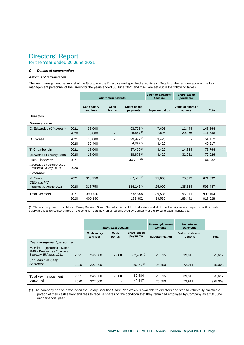# Directors' Report for the Year ended 30 June 2021

#### *C. Details of remuneration*

#### *Amounts of remuneration*

The key management personnel of the Group are the Directors and specified executives. Details of the remuneration of the key management personnel of the Group for the years ended 30 June 2021 and 2020 are set out in the following tables.

|                                                                           |              | <b>Short-term benefits</b>     |               | <b>Post-employment</b><br><b>benefits</b> | <b>Share-based</b><br>payments |                              |                    |
|---------------------------------------------------------------------------|--------------|--------------------------------|---------------|-------------------------------------------|--------------------------------|------------------------------|--------------------|
|                                                                           |              | <b>Cash salary</b><br>and fees | Cash<br>bonus | Share-based<br>payments                   | Superannuation                 | Value of shares /<br>options | <b>Total</b>       |
| <b>Directors</b>                                                          |              |                                |               |                                           |                                |                              |                    |
| <b>Non-executive</b>                                                      |              |                                |               |                                           |                                |                              |                    |
| C. Edwardes (Chairman)                                                    | 2021<br>2020 | 36,000<br>36,000               |               | $93,725^{(1)}$<br>$46,687^{(1)}$          | 7,695<br>7,695                 | 11,444<br>20,956             | 148,864<br>111,338 |
| D. Cornell                                                                | 2021<br>2020 | 18,000<br>32,400               |               | $29.992^{(1)}$<br>$4,397^{(1)}$           | 3,420<br>3,420                 |                              | 51,412<br>40,217   |
| T. Chamberlain                                                            | 2021         | 18,000                         |               | $37.490^{(1)}$                            | 3,420                          | 14,854                       | 73,764             |
| (appointed 1 February 2019)                                               | 2020         | 18,000                         |               | $18,675^{(1)}$                            | 3,420                          | 31,931                       | 72,026             |
| Luca Giacovazzi<br>(appointed 19 October 2020<br>- resigned 23 July 2021) | 2021<br>2020 |                                |               | 44,232 (1)                                |                                |                              | 44,232             |
| <b>Executive</b>                                                          |              |                                |               |                                           |                                |                              |                    |
| M. Young<br>CEO and MD                                                    | 2021         | 318,750                        |               | $257,569^{(1)}$                           | 25.000                         | 70.513                       | 671,832            |
| (resigned 30 August 2021)                                                 | 2020         | 318,750                        |               | $114, 143^{(1)}$                          | 25,000                         | 135,554                      | 593,447            |
| <b>Total Directors</b>                                                    | 2021<br>2020 | 390,750<br>405,150             |               | 463,008<br>183,902                        | 39,535<br>39,535               | 96,811<br>188,441            | 990,104<br>817,028 |

(1) The company has an established Salary Sacrifice Share Plan which is available to directors and staff to voluntarily sacrifice a portion of their cash salary and fees to receive shares on the condition that they remained employed by Company at the 30 June each financial year.

|                                                                                          |      | <b>Short-term benefits</b>     |               | Post-employment<br><b>benefits</b> | Share-based<br>payments |                              |         |
|------------------------------------------------------------------------------------------|------|--------------------------------|---------------|------------------------------------|-------------------------|------------------------------|---------|
|                                                                                          |      | <b>Cash salary</b><br>and fees | Cash<br>bonus | Share-based<br>payments            | Superannuation          | Value of shares /<br>options | Total   |
| Key management personnel                                                                 |      |                                |               |                                    |                         |                              |         |
| M. Hilmer (appointed 8 March)<br>2019 - Resigned as Company<br>Secretary 25 August 2021) | 2021 | 245,000                        | 2.000         | $62.484^{(1)}$                     | 26.315                  | 39,818                       | 375,617 |
| CFO and Company<br>Secretary                                                             | 2020 | 227,000                        | ۰.            | $49.447^{(1)}$                     | 25.650                  | 72.911                       | 375,008 |
|                                                                                          |      |                                |               |                                    |                         |                              |         |
| Total key management                                                                     | 2021 | 245,000                        | 2.000         | 62,484                             | 26,315                  | 39,818                       | 375,617 |
| personnel                                                                                | 2020 | 227,000                        |               | 49.447                             | 25,650                  | 72,911                       | 375,008 |

(1) The company has an established the Salary Sacrifice Share Plan which is available to directors and staff to voluntarily sacrifice a portion of their cash salary and fees to receive shares on the condition that they remained employed by Company as at 30 June each financial year.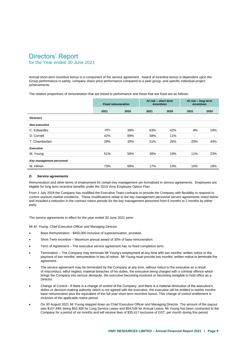# Directors' Report for the Year ended 30 June 2021

Annual short-term incentive bonus is a component of the service agreement. Award of incentive bonus is dependent upon the Group performance in safety, company share price performance compared to a peer group, and specific individual project achievements.

The relative proportions of remuneration that are linked to performance and those that are fixed are as follows:

|                          | <b>Fixed remuneration</b> |      | At risk - short term<br><i>incentives</i> |      | At risk - long term<br><i>incentives</i> |      |
|--------------------------|---------------------------|------|-------------------------------------------|------|------------------------------------------|------|
|                          | 2021                      | 2020 | 2021                                      | 2020 | 2021                                     | 2020 |
| <b>Directors</b>         |                           |      |                                           |      |                                          |      |
| <b>Non-executive</b>     |                           |      |                                           |      |                                          |      |
| C. Edwardes              | 29%                       | 39%  | 63%                                       | 42%  | 8%                                       | 19%  |
| D. Cornell               | 42%                       | 89%  | 58%                                       | 11%  | ۰                                        | ۰    |
| T. Chamberlain           | 29%                       | 30%  | 51%                                       | 26%  | 20%                                      | 44%  |
| <b>Executive</b>         |                           |      |                                           |      |                                          |      |
| M. Young                 | 51%                       | 58%  | 38%                                       | 19%  | 11%                                      | 23%  |
| Key management personnel |                           |      |                                           |      |                                          |      |
| M. Hilmer                | 73%                       | 68%  | 17%                                       | 13%  | 10%                                      | 19%  |

#### *D. Service agreements*

Remuneration and other terms of employment for certain key management are formalised in service agreements. Employees are eligible for long term incentive benefits under the 2019 Vimy Employee Option Plan.

From 1 July 2018 the Company has modified the Executive Team contracts to provide the Company with flexibility to respond to current uranium market conditions. These modifications relate to the key management personnel service agreements noted below and included a reduction in the contract notice periods for the key management personnel from 6 months to 2 months by either party.

The service agreements in effect for the year ended 30 June 2021 were:

*Mr M. Young, Chief Executive Officer and Managing Director* 

- Base Remuneration \$450,000 inclusive of superannuation, prorated.
- Short Term Incentive Maximum annual award of 30% of base remuneration.
- Term of Agreement The executive service agreement has no fixed completion term.
- Termination The Company may terminate Mr Young's employment at any time with two months' written notice or the payment of two months' remuneration in lieu of notice. Mr Young must provide two months' written notice to terminate the agreement.
- The service agreement may be terminated by the Company at any time, without notice to the executive as a result of misconduct, wilful neglect, material breaches of his duties, the executive being charged with a criminal offence which brings the Company into serious disrepute, the executive becoming insolvent or becoming ineligible to hold office as a Director.
- Change of Control If there is a change of control of the Company, and there is a material diminution of the executive's duties or decision-making authority which is not agreed with the executive, the executive will be entitled to twelve months base remuneration plus the equivalent of the full year short term incentive bonus. This change of control entitlement is inclusive of the applicable notice period.
- On 30 August 2021 Mr Young stepped down as Chief Executive Officer and Managing Director. The amount of the payout was \$107,849; being \$53,309 for Long Service Leave and \$54,539 for Annual Leave. Mr Young has been contracted to the Company for a period of six months and will receive fees of \$35,417 exclusive of GST, per month during this period.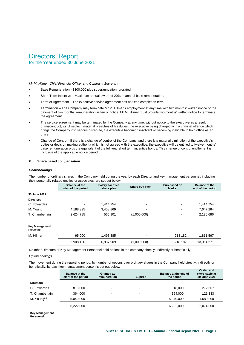for the Year ended 30 June 2021

*Mr M. Hilmer, Chief Financial Officer and Company Secretary* 

- Base Remuneration \$300,000 plus superannuation, prorated.
- Short Term Incentive Maximum annual award of 20% of annual base remuneration.
- Term of Agreement The executive service agreement has no fixed completion term.
- Termination The Company may terminate Mr M. Hilmer's employment at any time with two months' written notice or the payment of two months' remuneration in lieu of notice. Mr M. Hilmer must provide two months' written notice to terminate the agreement.
- The service agreement may be terminated by the Company at any time, without notice to the executive as a result of misconduct, wilful neglect, material breaches of his duties, the executive being charged with a criminal offence which brings the Company into serious disrepute, the executive becoming insolvent or becoming ineligible to hold office as an officer.
- Change of Control If there is a change of control of the Company, and there is a material diminution of the executive's duties or decision making authority which is not agreed with the executive, the executive will be entitled to twelve months' base remuneration plus the equivalent of the full year short term incentive bonus. This change of control entitlement is inclusive of the applicable notice period.

#### *E. Share-based compensation*

#### *Shareholdings*

The number of ordinary shares in the Company held during the year by each Director and key management personnel, including their personally related entities or associates, are set out below.

|                  | <b>Balance at the</b><br>start of the period | <b>Salary sacrifice</b><br>share plan | Share buy back | <b>Purchased on</b><br><b>Market</b> | <b>Balance at the</b><br>end of the period |
|------------------|----------------------------------------------|---------------------------------------|----------------|--------------------------------------|--------------------------------------------|
| 30 June 2021     |                                              |                                       |                |                                      |                                            |
| <b>Directors</b> |                                              |                                       |                |                                      |                                            |
| C. Edwardes      | $\blacksquare$                               | 1.414.754                             | -              | -                                    | 1,414,754                                  |
| M. Young         | 4,188,395                                    | 3,458,869                             | -              | -                                    | 7,647,264                                  |
| T. Chamberlain   | 2,624,785                                    | 565.901                               | (1,000,000)    |                                      | 2,190,686                                  |

Key Management

| Personnel |           |           |                          |         |            |  |
|-----------|-----------|-----------|--------------------------|---------|------------|--|
| M. Hilmer | 95,000    | ,498,385  | $\overline{\phantom{a}}$ | 218 182 | 1,811,567  |  |
|           | 6,908,180 | 6,937,909 | 1,000,000)               | 218 182 | 13,064,271 |  |

No other Directors or Key Management Personnel hold options in the company directly, indirectly or beneficially

#### *Option holdings*

The movement during the reporting period, by number of options over ordinary shares in the Company held directly, indirectly or beneficially, by each key management person is set out below.

|                         | <b>Balance at the</b><br>start of the period | <b>Granted as</b><br>remuneration | <b>Expired</b>           | Balance at the end of<br>the period | <b>Vested and</b><br>exercisable at<br>30 June 2021 |  |
|-------------------------|----------------------------------------------|-----------------------------------|--------------------------|-------------------------------------|-----------------------------------------------------|--|
| <b>Directors</b>        |                                              |                                   |                          |                                     |                                                     |  |
| C. Edwardes             | 818,000                                      | -                                 | $\overline{\phantom{a}}$ | 818,000                             | 272,667                                             |  |
| T. Chamberlain          | 364.000                                      | -                                 | $\overline{\phantom{a}}$ | 364.000                             | 121,333                                             |  |
| M. Young <sup>(a)</sup> | 5,040,000                                    | -                                 | $\overline{\phantom{0}}$ | 5,040,000                           | 1,680,000                                           |  |
|                         | 6,222,000                                    | -                                 | $\blacksquare$           | 6,222,000                           | 2,074,000                                           |  |
|                         |                                              |                                   |                          |                                     |                                                     |  |

**Key Management Personnel**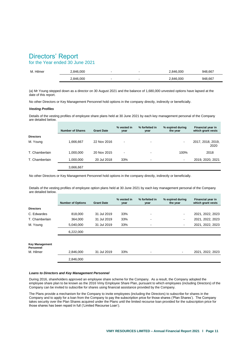# for the Year ended 30 June 2021

| M. Hilmer | .846.000         |                          | .846.000  | 948.667 |
|-----------|------------------|--------------------------|-----------|---------|
|           | ,846,000<br>2. J | $\overline{\phantom{a}}$ | 2.846.000 | 948,667 |

(a) Mr Young stepped down as a director on 30 August 2021 and the balance of 1,680,000 unvested options have lapsed at the date of this report.

No other Directors or Key Management Personnel hold options in the company directly, indirectly or beneficially.

#### *Vesting Profiles*

Details of the vesting profiles of employee share plans held at 30 June 2021 by each key management personal of the Company are detailed below.

|                  | <b>Number of Shares</b> | <b>Grant Date</b> | % vested in<br>year | % forfeited in<br>year   | % expired during<br>the year | Financial year in<br>which grant vests |
|------------------|-------------------------|-------------------|---------------------|--------------------------|------------------------------|----------------------------------------|
| <b>Directors</b> |                         |                   |                     |                          |                              |                                        |
| M. Young         | 1,666,667               | 22 Nov 2016       | -                   | -                        | $\blacksquare$               | 2017, 2018, 2019,<br>2020              |
| T. Chamberlain   | 1,000,000               | 20 Nov 2015       | -                   | ٠                        | 100%                         | 2018                                   |
| T. Chamberlain   | 1,000,000               | 20 Jul 2018       | 33%                 | $\overline{\phantom{a}}$ | $\overline{\phantom{a}}$     | 2019, 2020, 2021                       |
|                  | 3,666,667               |                   |                     |                          |                              |                                        |

No other Directors or Key Management Personnel hold options in the company directly, indirectly or beneficially.

Details of the vesting profiles of employee option plans held at 30 June 2021 by each key management personal of the Company are detailed below.

|                                                 | <b>Number of Options</b> | <b>Grant Date</b> | % vested in<br>year | % forfeited in<br>year | % expired during<br>the year | <b>Financial year in</b><br>which grant vests |
|-------------------------------------------------|--------------------------|-------------------|---------------------|------------------------|------------------------------|-----------------------------------------------|
| <b>Directors</b>                                |                          |                   |                     |                        |                              |                                               |
| C. Edwardes                                     | 818,000                  | 31 Jul 2019       | 33%                 | ٠                      | $\blacksquare$               | 2021, 2022, 2023                              |
| T. Chamberlain                                  | 364.000                  | 31 Jul 2019       | 33%                 |                        | ٠                            | 2021, 2022, 2023                              |
| M. Young                                        | 5,040,000                | 31 Jul 2019       | 33%                 |                        |                              | 2021, 2022, 2023                              |
|                                                 | 6,222,000                |                   |                     |                        |                              |                                               |
| <b>Key Management</b><br>Personnel<br>M. Hilmer | 2,846,000                | 31 Jul 2019       | 33%                 |                        |                              | 2021, 2022, 2023                              |
|                                                 |                          |                   |                     |                        |                              |                                               |
|                                                 | 2.846.000                |                   |                     |                        |                              |                                               |

#### *Loans to Directors and Key Management Personnel*

During 2016, shareholders approved an employee share scheme for the Company. As a result, the Company adopted the employee share plan to be known as the 2016 Vimy Employee Share Plan, pursuant to which employees (including Directors) of the Company can be invited to subscribe for shares using financial assistance provided by the Company.

The Plans provide a mechanism for the Company to invite employees (including the Directors) to subscribe for shares in the Company and to apply for a loan from the Company to pay the subscription price for those shares ('Plan Shares'). The Company takes security over the Plan Shares acquired under the Plans until the limited recourse loan provided for the subscription price for those shares has been repaid in full ('Limited Recourse Loan').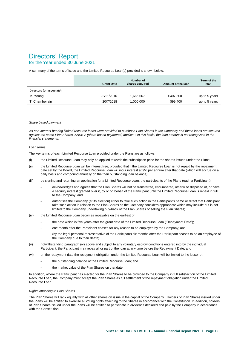# for the Year ended 30 June 2021

A summary of the terms of issue and the Limited Recourse Loan(s) provided is shown below.

|                          | <b>Grant Date</b> | Number of<br>shares acquired | Amount of the loan | Term of the<br>loan |
|--------------------------|-------------------|------------------------------|--------------------|---------------------|
| Directors (or associate) |                   |                              |                    |                     |
| M. Young                 | 22/11/2016        | .666.667                     | \$407.500          | up to 5 years       |
| T. Chamberlain           | 20/7/2018         | 1,000,000                    | \$99,400           | up to 5 years       |

#### *Share based payment*

*As non-interest bearing limited recourse loans were provided to purchase Plan Shares in the Company and these loans are secured against the same Plan Shares, AASB 2 (share based payments) applies. On this basis, the loan amount is not recognised in the financial statements.* 

#### *Loan terms*

The key terms of each Limited Recourse Loan provided under the Plans are as follows:

- (i) the Limited Recourse Loan may only be applied towards the subscription price for the shares issued under the Plans;
- (ii) the Limited Recourse Loan will be interest free, provided that if the Limited Recourse Loan is not repaid by the repayment date set by the Board, the Limited Recourse Loan will incur interest at 9% per annum after that date (which will accrue on a daily basis and compound annually on the then outstanding loan balance);
- (iii) by signing and returning an application for a Limited Recourse Loan, the participants of the Plans (each a Participant):
	- ─ acknowledges and agrees that the Plan Shares will not be transferred, encumbered, otherwise disposed of, or have a security interest granted over it, by or on behalf of the Participant until the Limited Recourse Loan is repaid in full to the Company; and
	- authorises the Company (at its election) either to take such action in the Participant's name or direct that Participant take such action in relation to the Plan Shares as the Company considers appropriate which may include but is not limited to the Company undertaking buy-back of the Plan Shares or selling the Plan Shares;
- (iv) the Limited Recourse Loan becomes repayable on the earliest of:
	- the date which is five years after the grant date of the Limited Recourse Loan ('Repayment Date');
	- one month after the Participant ceases for any reason to be employed by the Company; and
	- (by the legal personal representative of the Participant) six months after the Participant ceases to be an employee of the Company due to their death;
- (v) notwithstanding paragraph (iv) above and subject to any voluntary escrow conditions entered into by the individual Participant, the Participant may repay all or part of the loan at any time before the Repayment Date; and
- (vi) on the repayment date the repayment obligation under the Limited Recourse Loan will be limited to the lesser of:
	- the outstanding balance of the Limited Recourse Loan; and
	- the market value of the Plan Shares on that date.

In addition, where the Participant has elected for the Plan Shares to be provided to the Company in full satisfaction of the Limited Recourse Loan, the Company must accept the Plan Shares as full settlement of the repayment obligation under the Limited Recourse Loan.

#### *Rights attaching to Plan Shares*

The Plan Shares will rank equally with all other shares on issue in the capital of the Company. Holders of Plan Shares issued under the Plans will be entitled to exercise all voting rights attaching to the Shares in accordance with the Constitution. In addition, holders of Plan Shares issued under the Plans will be entitled to participate in dividends declared and paid by the Company in accordance with the Constitution.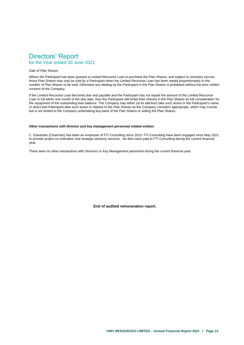# Directors' Report for the Year ended 30 June 2021

#### *Sale of Plan Shares*

Where the Participant has been granted a Limited Recourse Loan to purchase the Plan Shares, and subject to voluntary escrow, those Plan Shares may only be sold by a Participant when the Limited Recourse Loan has been repaid proportionately to the number of Plan Shares to be sold. Otherwise any dealing by the Participant in the Plan Shares is prohibited without the prior written consent of the Company.

If the Limited Recourse Loan becomes due and payable and the Participant has not repaid the amount of the Limited Recourse Loan in full within one month of the due date, then the Participant will forfeit their interest in the Plan Shares as full consideration for the repayment of the outstanding loan balance. The Company may either (at its election) take such action in the Participant's name or direct that Participant take such action in relation to the Plan Shares as the Company considers appropriate, which may include but is not limited to the Company undertaking buy-back of the Plan Shares or selling the Plan Shares.

#### **Other transactions with Director and key management personnel related entities**

C. Edwardes (Chairman) has been an employee of FTI Consulting since 2013. FTI Consulting have been engaged since May 2021 to provide project co-ordination and strategic advisory services. No fees were paid to FTI Consulting during the current financial year.

There were no other transactions with Directors or Key Management personnel during the current financial year.

**End of audited remuneration report.**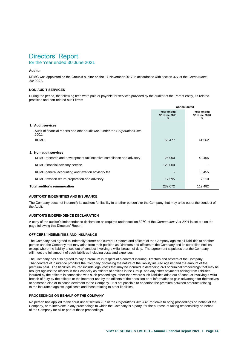# for the Year ended 30 June 2021

### **Auditor**

KPMG was appointed as the Group's auditor on the 17 November 2017 in accordance with section 327 of the *Corporations Act 2001.*

#### **NON-AUDIT SERVICES**

During the period, the following fees were paid or payable for services provided by the auditor of the Parent entity, its related practices and non-related audit firms:

|                                                                                     | <b>Consolidated</b>        |                                  |  |
|-------------------------------------------------------------------------------------|----------------------------|----------------------------------|--|
|                                                                                     | Year ended<br>30 June 2021 | Year ended<br>30 June 2020<br>\$ |  |
| 1. Audit services                                                                   |                            |                                  |  |
| Audit of financial reports and other audit work under the Corporations Act<br>2001: |                            |                                  |  |
| <b>KPMG</b>                                                                         | 68,477                     | 41,362                           |  |
| 2. Non-audit services                                                               |                            |                                  |  |
| KPMG research and development tax incentive compliance and advisory                 | 26,000                     | 40,455                           |  |
| KPMG financial advisory service                                                     | 120,000                    |                                  |  |
| KPMG general accounting and taxation advisory fee                                   |                            | 13,455                           |  |
| KPMG taxation return preparation and advisory                                       | 17,595                     | 17,210                           |  |
| <b>Total auditor's remuneration</b>                                                 | 232,072                    | 112,482                          |  |

#### **AUDITORS' INDEMNITIES AND INSURANCE**

The Company does not indemnify its auditors for liability to another person's or the Company that may arise out of the conduct of the Audit.

#### **AUDITOR'S INDEPENDENCE DECLARATION**

A copy of the auditor's independence declaration as required under section 307C of the *Corporations Act 2001* is set out on the page following this Directors' Report.

#### **OFFICERS' INDEMNITIES AND INSURANCE**

The Company has agreed to indemnify former and current Directors and officers of the Company against all liabilities to another person and the Company that may arise from their position as Directors and officers of the Company and its controlled entities, except where the liability arises out of conduct involving a wilful breach of duty. The agreement stipulates that the Company will meet the full amount of such liabilities including costs and expenses.

The Company has also agreed to pay a premium in respect of a contract insuring Directors and officers of the Company. That contract of insurance prohibits the Company disclosing the nature of the liability insured against and the amount of the premium paid. The liabilities insured include legal costs that may be incurred in defending civil or criminal proceedings that may be brought against the officers in their capacity as officers of entities in the Group. and any other payments arising from liabilities incurred by the officers in connection with such proceedings, other than where such liabilities arise out of conduct involving a wilful breach of duty by the officers or the improper use by the officers of their position or of information to gain advantage for themselves or someone else or to cause detriment to the Company. It is not possible to apportion the premium between amounts relating to the insurance against legal costs and those relating to other liabilities.

#### **PROCEEDINGS ON BEHALF OF THE COMPANY**

No person has applied to the court under section 237 of the *Corporations Act 2001* for leave to bring proceedings on behalf of the Company, or to intervene in any proceedings to which the Company is a party, for the purpose of taking responsibility on behalf of the Company for all or part of those proceedings.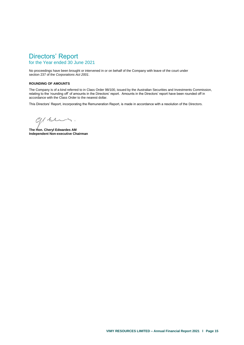# Directors' Report for the Year ended 30 June 2021

No proceedings have been brought or intervened in or on behalf of the Company with leave of the court under section 237 of the *Corporations Act 2001*.

#### **ROUNDING OF AMOUNTS**

The Company is of a kind referred to in Class Order 98/100, issued by the Australian Securities and Investments Commission, relating to the 'rounding off' of amounts in the Directors' report. Amounts in the Directors' report have been rounded off in accordance with the Class Order to the nearest dollar.

This Directors' Report, incorporating the Remuneration Report, is made in accordance with a resolution of the Directors.

green.

**The Hon. Cheryl Edwardes AM Independent Non-executive Chairman**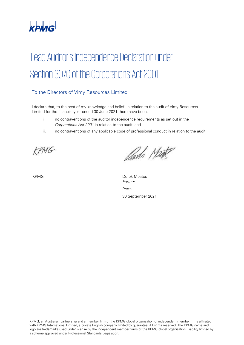

# Lead Auditor's Independence Declaration under Section 307C of the Corporations Act 2001

# To the Directors of Vimy Resources Limited

I declare that, to the best of my knowledge and belief, in relation to the audit of Vimy Resources Limited for the financial year ended 30 June 2021 there have been:

- i. no contraventions of the auditor independence requirements as set out in the Corporations Act 2001 in relation to the audit; and
- ii. no contraventions of any applicable code of professional conduct in relation to the audit.

KPMG

Parts Make

KPMG Derek Meates Partner Perth 30 September 2021

KPMG, an Australian partnership and a member firm of the KPMG global organisation of independent member firms affiliated with KPMG International Limited, a private English company limited by guarantee. All rights reserved. The KPMG name and logo are trademarks used under license by the independent member firms of the KPMG global organisation. Liability limited by a scheme approved under Professional Standards Legislation.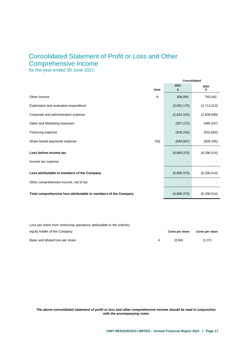# Consolidated Statement of Profit or Loss and Other Comprehensive Income

for the year ended 30 June 2021

<span id="page-18-0"></span>

|                                                                 | Consolidated |             |               |
|-----------------------------------------------------------------|--------------|-------------|---------------|
| <b>Note</b>                                                     |              | 2021<br>\$  | 2020<br>\$    |
| Other Income<br>6                                               |              | 309,905     | 793,492       |
| Exploration and evaluation expenditure                          |              | (3,062,170) | (2,713,513)   |
| Corporate and administration expense                            |              | (2,632,103) | (2,639,049)   |
| Sales and Marketing expenses                                    |              | (307, 172)  | (495, 437)    |
| Financing expense                                               |              | (528, 243)  | (632, 662)    |
| 7(b)<br>Share based payments expense                            |              | (649, 587)  | (609, 345)    |
| Loss before income tax                                          |              | (6,869,370) | (6, 296, 514) |
| Income tax expense                                              |              |             |               |
| Loss attributable to members of the Company                     |              | (6,869,370) | (6, 296, 514) |
| Other comprehensive income, net of tax                          |              |             |               |
| Total comprehensive loss attributable to members of the Company |              | (6,869,370) | (6, 296, 514) |

Loss per share from continuing operations attributable to the ordinary equity holder of the Company: **Cents per share Cents per share** Basic and diluted loss per share (1.07) (1.07)

*The above consolidated statement of profit or loss and other comprehensive income should be read in conjunction with the accompanying notes*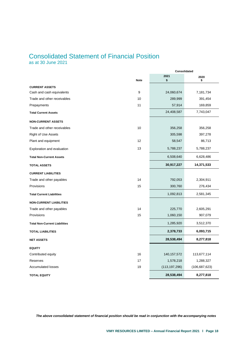# Consolidated Statement of Financial Position

as at 30 June 2021

<span id="page-19-0"></span>

|                                      |             | 2021            | 2020            |
|--------------------------------------|-------------|-----------------|-----------------|
|                                      | <b>Note</b> | \$              | \$              |
| <b>CURRENT ASSETS</b>                |             |                 |                 |
| Cash and cash equivalents            | 9           | 24,060,674      | 7,181,734       |
| Trade and other receivables          | 10          | 289,999         | 391,454         |
| Prepayments                          | 11          | 57,914          | 169,859         |
| <b>Total Current Assets</b>          |             | 24,408,587      | 7,743,047       |
| <b>NON-CURRENT ASSETS</b>            |             |                 |                 |
| Trade and other receivables          | 10          | 356,258         | 356,258         |
| Right of Use Assets                  |             | 305,598         | 397,278         |
| Plant and equipment                  | 12          | 58,547          | 86,713          |
| Exploration and evaluation           | 13          | 5,788,237       | 5,788,237       |
| <b>Total Non-Current Assets</b>      |             | 6,508,640       | 6,628,486       |
| <b>TOTAL ASSETS</b>                  |             | 30,917,227      | 14,371,533      |
| <b>CURRENT LIABILITIES</b>           |             |                 |                 |
| Trade and other payables             | 14          | 792,053         | 2,304,911       |
| Provisions                           | 15          | 300,760         | 276,434         |
| <b>Total Current Liabilities</b>     |             | 1,092,813       | 2,581,345       |
| <b>NON-CURRENT LIABILITIES</b>       |             |                 |                 |
| Trade and other payables             | 14          | 225,770         | 2,605,291       |
| Provisions                           | 15          | 1,060,150       | 907,079         |
| <b>Total Non-Current Liabilities</b> |             | 1,285,920       | 3,512,370       |
| <b>TOTAL LIABILITIES</b>             |             | 2,378,733       | 6,093,715       |
| <b>NET ASSETS</b>                    |             | 28,538,494      | 8,277,818       |
| <b>EQUITY</b>                        |             |                 |                 |
| Contributed equity                   | 16          | 140, 157, 572   | 113,677,114     |
| Reserves                             | 17          | 1,578,218       | 1,288,327       |
| <b>Accumulated losses</b>            | 19          | (113, 197, 296) | (106, 687, 623) |
| <b>TOTAL EQUITY</b>                  |             | 28,538,494      | 8,277,818       |

*The above consolidated statement of financial position should be read in conjunction with the accompanying notes*

**Consolidated**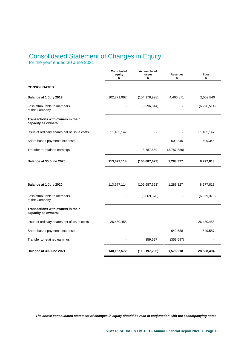# Consolidated Statement of Changes in Equity

for the year ended 30 June 2021

<span id="page-20-0"></span>

|                                                          | <b>Contributed</b><br>equity<br>\$ | <b>Accumulated</b><br>losses<br>\$ | <b>Reserves</b><br>\$ | Total<br>\$   |
|----------------------------------------------------------|------------------------------------|------------------------------------|-----------------------|---------------|
| <b>CONSOLIDATED</b>                                      |                                    |                                    |                       |               |
| Balance at 1 July 2019                                   | 102,271,967                        | (104, 178, 998)                    | 4,466,871             | 2,559,840     |
| Loss attributable to members<br>of the Company           |                                    | (6, 296, 514)                      |                       | (6, 296, 514) |
| Transactions with owners in their<br>capacity as owners: |                                    |                                    |                       |               |
| Issue of ordinary shares net of issue costs              | 11,405,147                         |                                    |                       | 11,405,147    |
| Share based payments expense                             |                                    |                                    | 609,345               | 609,345       |
| Transfer to retained earnings                            |                                    | 3,787,889                          | (3,787,889)           |               |
| Balance at 30 June 2020                                  | 113,677,114                        | (106, 687, 623)                    | 1,288,327             | 8,277,818     |
|                                                          |                                    |                                    |                       |               |
| Balance at 1 July 2020                                   | 113,677,114                        | (106, 687, 623)                    | 1,288,327             | 8,277,818     |
| Loss attributable to members<br>of the Company           |                                    | (6,869,370)                        |                       | (6,869,370)   |
| Transactions with owners in their<br>capacity as owners: |                                    |                                    |                       |               |
| Issue of ordinary shares net of issue costs              | 26,480,458                         |                                    |                       | 26,480,458    |
| Share based payments expense                             |                                    |                                    | 649,588               | 649,587       |
| Transfer to retained earnings                            |                                    | 359,697                            | (359, 697)            |               |
| Balance at 30 June 2021                                  | 140,157,572                        | (113, 197, 296)                    | 1,578,218             | 28,538,494    |

*The above consolidated statement of changes in equity should be read in conjunction with the accompanying notes*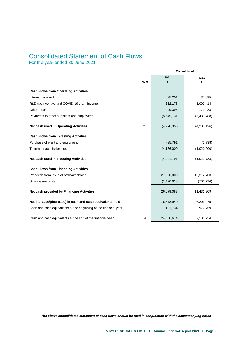# Consolidated Statement of Cash Flows

For the year ended 30 June 2021

<span id="page-21-0"></span>

|                                                                  |             | Consolidated  |             |  |
|------------------------------------------------------------------|-------------|---------------|-------------|--|
|                                                                  | <b>Note</b> | 2021<br>\$    | 2020<br>\$  |  |
| <b>Cash Flows from Operating Activities</b>                      |             |               |             |  |
| Interest received                                                |             | 25,201        | 37,095      |  |
| R&D tax incentive and COVID-19 grant income                      |             | 612,178       | 1,009,414   |  |
| Other Income                                                     |             | 29,396        | 179,083     |  |
| Payments to other suppliers and employees                        |             | (5,645,131)   | (5,430,788) |  |
| Net cash used in Operating Activities                            | 23          | (4,978,356)   | (4,205,196) |  |
| <b>Cash Flows from Investing Activities</b>                      |             |               |             |  |
| Purchase of plant and equipment                                  |             | (35, 791)     | (2,738)     |  |
| Tenement acquisition costs                                       |             | (4, 186, 000) | (1,020,000) |  |
| Net cash used in Investing Activities                            |             | (4,221,791)   | (1,022,738) |  |
| <b>Cash Flows from Financing Activities</b>                      |             |               |             |  |
| Proceeds from issue of ordinary shares                           |             | 27,500,000    | 12,212,703  |  |
| Share issue costs                                                |             | (1,420,913)   | (780, 794)  |  |
| Net cash provided by Financing Activities                        |             | 26,079,087    | 11,431,909  |  |
| Net increase/(decrease) in cash and cash equivalents held        |             | 16,878,940    | 6,203,975   |  |
| Cash and cash equivalents at the beginning of the financial year |             | 7,181,734     | 977,759     |  |
| Cash and cash equivalents at the end of the financial year       | 9           | 24,060,674    | 7,181,734   |  |

*The above consolidated statement of cash flows should be read in conjunction with the accompanying notes*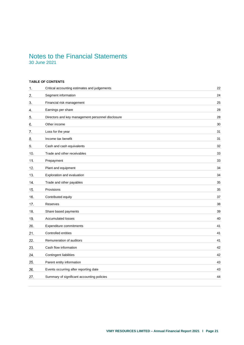# Notes to the Financial Statements 30 June 2021

## <span id="page-22-0"></span>**TABLE OF CONTENTS**

| 1.  | Critical accounting estimates and judgements      | 22 |
|-----|---------------------------------------------------|----|
| 2.  | Segment information                               | 24 |
| 3.  | Financial risk management                         | 25 |
| 4.  | Earnings per share                                | 28 |
| 5.  | Directors and key management personnel disclosure | 28 |
| 6.  | Other income                                      | 30 |
| 7.  | Loss for the year                                 | 31 |
| 8.  | Income tax benefit                                | 31 |
| 9.  | Cash and cash equivalents                         | 32 |
| 10. | Trade and other receivables                       | 33 |
| 11. | Prepayment                                        | 33 |
| 12. | Plant and equipment                               | 34 |
| 13. | Exploration and evaluation                        | 34 |
| 14. | Trade and other payables                          | 35 |
| 15. | Provisions                                        | 35 |
| 16. | Contributed equity                                | 37 |
| 17. | Reserves                                          | 38 |
| 18. | Share based payments                              | 39 |
| 19. | <b>Accumulated losses</b>                         | 40 |
| 20. | Expenditure commitments                           | 41 |
| 21. | Controlled entities                               | 41 |
| 22. | Remuneration of auditors                          | 41 |
| 23. | Cash flow information                             | 42 |
| 24. | Contingent liabilities                            | 42 |
| 25. | Parent entity information                         | 43 |
| 26. | Events occurring after reporting date             | 43 |
| 27. | Summary of significant accounting policies        | 44 |
|     |                                                   |    |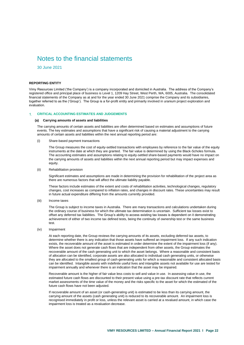30 June 2021

#### **REPORTING ENTITY**

Vimy Resources Limited ('the Company') is a company incorporated and domiciled in Australia. The address of the Company's registered office and principal place of business is Level 1, 1209 Hay Street, West Perth, WA, 6005, Australia. The consolidated financial statements of the Company as at and for the year ended 30 June 2021 comprise the Company and its subsidiaries, together referred to as the ('Group'). The Group is a for-profit entity and primarily involved in uranium project exploration and evaluation.

#### <span id="page-23-0"></span>**CRITICAL ACCOUNTING ESTIMATES AND JUDGEMENTS**

#### **(a) Carrying amounts of assets and liabilities**

The carrying amounts of certain assets and liabilities are often determined based on estimates and assumptions of future events. The key estimates and assumptions that have a significant risk of causing a material adjustment to the carrying amounts of certain assets and liabilities within the next annual reporting period are:

(i) Share-based payment transactions

The Group measures the cost of equity-settled transactions with employees by reference to the fair value of the equity instruments at the date at which they are granted. The fair value is determined by using the Black-Scholes formula. The accounting estimates and assumptions relating to equity-settled share-based payments would have no impact on the carrying amounts of assets and liabilities within the next annual reporting period but may impact expenses and equity.

(ii) Rehabilitation provision

Significant estimates and assumptions are made in determining the provision for rehabilitation of the project area as there are numerous factors that will affect the ultimate liability payable.

These factors include estimates of the extent and costs of rehabilitation activities, technological changes, regulatory changes, cost increases as compared to inflation rates, and changes in discount rates. These uncertainties may result in future actual expenditure differing from the amounts currently provided.

(iii) Income taxes

The Group is subject to income taxes in Australia. There are many transactions and calculations undertaken during the ordinary course of business for which the ultimate tax determination is uncertain. Sufficient tax losses exist to offset any deferred tax liabilities. The Group's ability to access existing tax losses is dependent on it demonstrating achievement of either of two income tax defined tests, being the continuity of ownership test or the same business test.

(iv) Impairment

At each reporting date, the Group reviews the carrying amounts of its assets, excluding deferred tax assets, to determine whether there is any indication that those assets have suffered an impairment loss. If any such indication exists, the recoverable amount of the asset is estimated in order determine the extent of the impairment loss (if any). Where the asset does not generate cash flows that are independent from other assets, the Group estimates the recoverable amount of the cash generating unit to which the asset belongs. Where a reasonable and consistent basis of allocation can be identified, corporate assets are also allocated to individual cash generating units, or otherwise they are allocated to the smallest group of cash-generating units for which a reasonable and consistent allocated basis can be identified. Intangible assets with indefinite useful lives and intangible assets not available for use are tested for impairment annually and whenever there is an indication that the asset may be impaired.

Recoverable amount is the higher of fair value less costs to sell and value in use. In assessing value in use, the estimated future cash flows are discounted to their present value using a pre-tax discount rate that reflects current market assessments of the time value of the money and the risks specific to the asset for which the estimated of the future cash flows have not been adjusted.

If recoverable amount of an asset (or cash-generating unit) is estimated to be less than its carrying amount, the carrying amount of the assets (cash generating unit) is reduced to its recoverable amount. An impairment loss is recognised immediately in profit or loss, unless the relevant asset is carried at a revalued amount, in which case the impairment loss is treated as a revaluation decrease.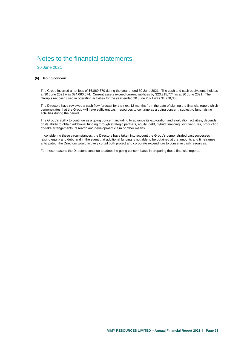30 June 2021

#### **(b) Going concern**

The Group incurred a net loss of \$6,869,370 during the year ended 30 June 2021. The cash and cash equivalents held as at 30 June 2021 was \$24,060,674. Current assets exceed current liabilities by \$23,315,774 as at 30 June 2021. The Group's net cash used in operating activities for the year ended 30 June 2021 was \$4,978,356.

The Directors have reviewed a cash flow forecast for the next 12 months from the date of signing the financial report which demonstrates that the Group will have sufficient cash resources to continue as a going concern, subject to fund raising activities during the period.

The Group's ability to continue as a going concern, including to advance its exploration and evaluation activities, depends on its ability to obtain additional funding through strategic partners, equity, debt, hybrid financing, joint ventures, production off-take arrangements, research and development claim or other means.

In considering these circumstances, the Directors have taken into account the Group's demonstrated past successes in raising equity and debt, and in the event that additional funding is not able to be obtained at the amounts and timeframes anticipated, the Directors would actively curtail both project and corporate expenditure to conserve cash resources.

For these reasons the Directors continue to adopt the going concern basis in preparing these financial reports.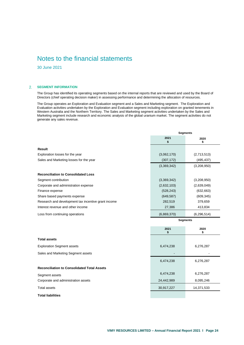30 June 2021

### <span id="page-25-0"></span>**SEGMENT INFORMATION**

The Group has identified its operating segments based on the internal reports that are reviewed and used by the Board of Directors (chief operating decision maker) in assessing performance and determining the allocation of resources.

The Group operates an Exploration and Evaluation segment and a Sales and Marketing segment. The Exploration and Evaluation activities undertaken by the Exploration and Evaluation segment including exploration on granted tenements in Western Australia and the Northern Territory. The Sales and Marketing segment activities undertaken by the Sales and Marketing segment include research and economic analysis of the global uranium market. The segment activities do not generate any sales revenue.

|                                                     | <b>Segments</b> |                 |  |
|-----------------------------------------------------|-----------------|-----------------|--|
|                                                     | 2021<br>\$      | 2020<br>\$      |  |
| <b>Result</b>                                       |                 |                 |  |
| Exploration losses for the year                     | (3,062,170)     | (2,713,513)     |  |
| Sales and Marketing losses for the year             | (307, 172)      | (495, 437)      |  |
|                                                     | (3,369,342)     | (3,208,950)     |  |
| <b>Reconciliation to Consolidated Loss</b>          |                 |                 |  |
| Segment contribution                                | (3,369,342)     | (3,208,950)     |  |
| Corporate and administration expense                | (2,632,103)     | (2,639,049)     |  |
| Finance expense                                     | (528, 243)      | (632, 663)      |  |
| Share based payments expense                        | (649, 587)      | (609, 345)      |  |
| Research and development tax incentive grant income | 282,519         | 379,659         |  |
| Interest revenue and other income                   | 27,386          | 413,834         |  |
| Loss from continuing operations                     | (6,869,370)     | (6, 296, 514)   |  |
|                                                     |                 | <b>Segments</b> |  |
|                                                     | 2021            | 2020            |  |

|                                                    |            | \$         |
|----------------------------------------------------|------------|------------|
| <b>Total assets</b>                                |            |            |
| <b>Exploration Segment assets</b>                  | 6,474,238  | 6,276,287  |
| Sales and Marketing Segment assets                 |            |            |
|                                                    | 6,474,238  | 6,276,287  |
| <b>Reconciliation to Consolidated Total Assets</b> |            |            |
| Segment assets                                     | 6,474,238  | 6,276,287  |
| Corporate and administration assets                | 24,442,989 | 8,095,246  |
| <b>Total assets</b>                                | 30,917,227 | 14,371,533 |
| <b>Total liabilities</b>                           |            |            |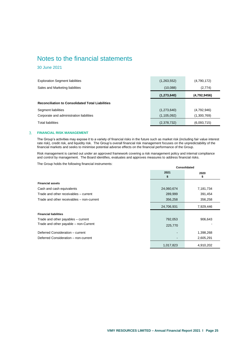30 June 2021

| <b>Exploration Segment liabilities</b>                  | (1,263,552)   | (4,790,172)  |
|---------------------------------------------------------|---------------|--------------|
| Sales and Marketing liabilities                         | (10,088)      | (2,774)      |
|                                                         | (1, 273, 640) | (4,792,9456) |
| <b>Reconciliation to Consolidated Total Liabilities</b> |               |              |
| Segment liabilities                                     | (1,273,640)   | (4,792,946)  |
| Corporate and administration liabilities                | (1, 105, 092) | (1,300,769)  |
| <b>Total liabilities</b>                                | (2,378,732)   | (6,093,715)  |

#### <span id="page-26-0"></span>**FINANCIAL RISK MANAGEMENT**  $3.$

The Group's activities may expose it to a variety of financial risks in the future such as market risk (including fair value interest rate risk), credit risk, and liquidity risk. The Group's overall financial risk management focuses on the unpredictability of the financial markets and seeks to minimise potential adverse effects on the financial performance of the Group.

Risk management is carried out under an approved framework covering a risk management policy and internal compliance and control by management. The Board identifies, evaluates and approves measures to address financial risks.

The Group holds the following financial instruments:

|                                           | 2021<br>\$ | 2020<br>ъ |
|-------------------------------------------|------------|-----------|
| <b>Financial assets</b>                   |            |           |
| Cash and cash equivalents                 | 24,060,674 | 7,181,734 |
| Trade and other receivables - current     | 289,999    | 391,454   |
| Trade and other receivables – non-current | 356,258    | 356,258   |
|                                           | 24,706,931 | 7,929,446 |
| <b>Financial liabilities</b>              |            |           |
| Trade and other payables – current        | 792,053    | 906,643   |
| Trade and other payable - non-Current     | 225,770    |           |
| Deferred Consideration - current          |            | 1,398,268 |
| Deferred Consideration - non-current      |            | 2,605,291 |
|                                           | 1,017,823  | 4,910,202 |

**Consolidated**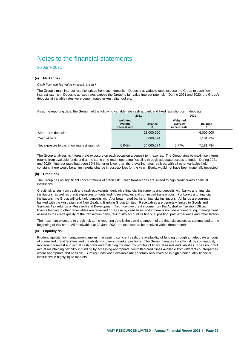### 30 June 2021

#### **(a) Market risk**

*Cash flow and fair value interest rate risk*

The Group's main interest rate risk arises from cash deposits. Deposits at variable rates expose the Group to cash flow interest rate risk. Deposits at fixed rates expose the Group to fair value interest rate risk. During 2021 and 2020, the Group's deposits at variable rates were denominated in Australian dollars.

As at the reporting date, the Group had the following variable rate cash at bank and fixed rate short-term deposits:

|                                              | 2021                                 |                | 2020                                 |                |  |
|----------------------------------------------|--------------------------------------|----------------|--------------------------------------|----------------|--|
|                                              | Weighted<br>average<br>interest rate | <b>Balance</b> | Weighted<br>average<br>interest rate | <b>Balance</b> |  |
| Short-term deposits                          |                                      | 21,000,000     |                                      | 6,000,000      |  |
| Cash at bank                                 |                                      | 3,060,674      |                                      | 1,181,734      |  |
| Net exposure to cash flow interest rate risk | 0.04%                                | 24,060,674     | 0.77%                                | 7,181,734      |  |

The Group analyses its interest rate exposure on each occasion a deposit term expires. The Group aims to maximise interest returns from available funds and at the same time retain operating flexibility through adequate access to funds. During 2021 and 2020 if interest rates had been 10% higher or lower than the prevailing rates realised, with all other variables held constant, there would be an immaterial change in post-tax loss for the year. Equity would not have been materially impacted.

#### **(b) Credit risk**

The Group has no significant concentrations of credit risk. Cash transactions are limited to high credit quality financial institutions.

Credit risk arises from cash and cash equivalents, derivative financial instruments and deposits with banks and financial institutions, as well as credit exposures on outstanding receivables and committed transactions. For banks and financial institutions, the Group will only hold deposits with A or better rated banks or financial institutions. All funds are currently banked with the Australian and New Zealand Banking Group Limited. Receivables are generally limited to Goods and Services Tax refunds or Research and Development Tax Incentive grant income from the Australian Taxation Office. Events leading to other receivables are reviewed on a case by case basis and if there is no independent rating, management assesses the credit quality of the transaction party, taking into account its financial position, past experience and other factors.

The maximum exposure to credit risk at the reporting date is the carrying amount of the financial assets as summarised at the beginning of this note. All receivables at 30 June 2021 are expected to be received within three months.

#### **(c) Liquidity risk**

Prudent liquidity risk management implies maintaining sufficient cash, the availability of funding through an adequate amount of committed credit facilities and the ability to close-out market positions. The Group manages liquidity risk by continuously monitoring forecast and actual cash flows and matching the maturity profiles of financial assets and liabilities. The Group will aim at maintaining flexibility in funding by accessing appropriate committed credit lines available from different counterparties where appropriate and possible. Surplus funds when available are generally only invested in high credit quality financial institutions in highly liquid markets.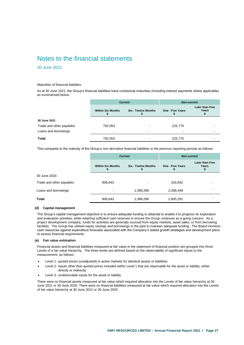### 30 June 2021

#### *Maturities of financial liabilities*

As at 30 June 2021, the Group's financial liabilities have contractual maturities (including interest payments where applicable) as summarised below:

|                          | <b>Current</b>           |                            | <b>Non-current</b> |                                 |
|--------------------------|--------------------------|----------------------------|--------------------|---------------------------------|
|                          | <b>Within Six Months</b> | <b>Six - Twelve Months</b> | One - Five Years   | <b>Later than Five</b><br>Years |
| 30 June 2021             |                          |                            |                    |                                 |
| Trade and other payables | 792,053                  |                            | 225,770            |                                 |
| Loans and borrowings     | -                        | $\overline{\phantom{0}}$   | -                  |                                 |
| Total                    | 792,053                  |                            | 225,770            |                                 |

This compares to the maturity of the Group's non-derivative financial liabilities in the previous reporting periods as follows:

|                          | <b>Current</b>           |                            | <b>Non-current</b>    |                                 |
|--------------------------|--------------------------|----------------------------|-----------------------|---------------------------------|
|                          | <b>Within Six Months</b> | <b>Six - Twelve Months</b> | One - Five Years<br>5 | <b>Later than Five</b><br>Years |
| 30 June 2020             |                          |                            |                       |                                 |
| Trade and other payables | 906,643                  | $\overline{\phantom{a}}$   | 316,842               |                                 |
| Loans and borrowings     | -                        | 1,398,268                  | 2,288,449             |                                 |
| <b>Total</b>             | 906,643                  | 1,398,268                  | 2,605,291             |                                 |

### **(d) Capital management**

The Group's capital management objective is to ensure adequate funding is obtained to enable it to progress its exploration and evaluation activities, while retaining sufficient cash reserves to ensure the Group continues as a going concern. As a project development company, funds for activities are generally sourced from equity markets, asset sales, or from borrowing facilities. The Group has utilised equity raisings and borrowings in the past to maintain adequate funding. The Board monitors cash resources against expenditure forecasts associated with the Company's stated growth strategies and development plans to assess financial requirements.

#### **(e) Fair value estimation**

Financial assets and financial liabilities measured at fair value in the statement of financial position are grouped into three Levels of a fair value hierarchy. The three levels are defined based on the observability of significant inputs to the measurement, as follows:

- Level 1: quoted prices (unadjusted) in active markets for identical assets or liabilities
- Level 2: inputs other than quoted prices included within Level 1 that are observable for the asset or liability, either directly or indirectly
- Level 3: unobservable inputs for the asset or liability

There were no financial assets measured at fair value which required allocation into the Levels of fair value hierarchy at 30 June 2021 or 30 June 2020. There were no financial liabilities measured at fair value which required allocation into the Levels of fair value hierarchy at 30 June 2021 or 30 June 2020.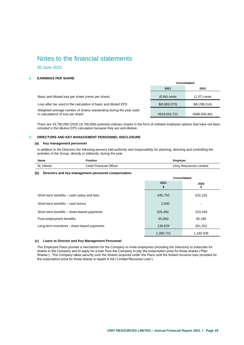30 June 2021

### <span id="page-29-0"></span>**EARNINGS PER SHARE**

|                                                                                                         | Consolidated   |                |
|---------------------------------------------------------------------------------------------------------|----------------|----------------|
|                                                                                                         | 2021           | 2020           |
| Basic and diluted loss per share (cents per share)                                                      | $(0.84)$ cents | $(1.07)$ cents |
| Loss after tax used in the calculation of basic and diluted EPS                                         | \$(6,869,370)  | \$(6,296,514)  |
| Weighted average number of shares outstanding during the year used<br>in calculations of loss per share | #818,054,721   | #588,455,961   |

There are 19,790,000 (2020:19,790,000) potential ordinary shares in the form of unlisted employee options that have not been included in the dilutive EPS calculation because they are anti-dilutive.

### <span id="page-29-1"></span>**DIRECTORS AND KEY MANAGEMENT PERSONNEL DISCLOSURE**

#### **(a) Key management personnel**

In addition to the Directors the following persons had authority and responsibility for planning, directing and controlling the activities of the Group, directly or indirectly, during the year:

| Name         | Position                       | <b>Employer</b>        |
|--------------|--------------------------------|------------------------|
| Hilmer<br>М. | <b>Chief Financial Officer</b> | Vimy Resources Limited |

#### **(b) Directors and key management personnel compensation**

|                                             | Consolidated |            |
|---------------------------------------------|--------------|------------|
|                                             | 2021<br>\$   | 2020<br>\$ |
| Short-term benefits – cash salary and fees  | 635,750      | 632,150    |
| Short-term benefits - cash bonus            | 2,000        |            |
| Short-term benefits – share-based payments  | 525,492      | 233,349    |
| Post-employment benefits                    | 65,850       | 65,185     |
| Long-term incentives - share-based payments | 136,629      | 261,352    |
|                                             | 1,365,721    | 1,192,036  |

#### **(c) Loans to Director and Key Management Personnel**

The Employee Plans provide a mechanism for the Company to invite employees (including the Directors) to subscribe for shares in the Company and to apply for a loan from the Company to pay the subscription price for those shares ('Plan Shares'). The Company takes security over the Shares acquired under the Plans until the limited recourse loan provided for the subscription price for those shares is repaid in full ('Limited Recourse Loan').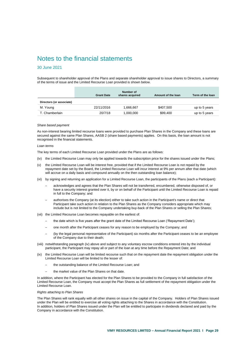### 30 June 2021

Subsequent to shareholder approval of the Plans and separate shareholder approval to issue shares to Directors, a summary of the terms of issue and the Limited Recourse Loan provided is shown below.

|                          | <b>Grant Date</b> | Number of<br>shares acquired | Amount of the loan | Term of the loan |
|--------------------------|-------------------|------------------------------|--------------------|------------------|
| Directors (or associate) |                   |                              |                    |                  |
| M. Young                 | 22/11/2016        | 1.666.667                    | \$407.500          | up to 5 years    |
| T. Chamberlain           | 20/7/18           | 1.000.000                    | \$99,400           | up to 5 years    |

#### *Share based payment*

As non-interest bearing limited recourse loans were provided to purchase Plan Shares in the Company and these loans are secured against the same Plan Shares, AASB 2 (share based payments) applies. On this basis, the loan amount is not recognised in the financial statements.

#### *Loan terms*

The key terms of each Limited Recourse Loan provided under the Plans are as follows:

- (iv) the Limited Recourse Loan may only be applied towards the subscription price for the shares issued under the Plans;
- (v) the Limited Recourse Loan will be interest free, provided that if the Limited Recourse Loan is not repaid by the repayment date set by the Board, the Limited Recourse Loan will incur interest at 9% per annum after that date (which will accrue on a daily basis and compound annually on the then outstanding loan balance);
- (vi) by signing and returning an application for a Limited Recourse Loan, the participants of the Plans (each a Participant):
	- ─ acknowledges and agrees that the Plan Shares will not be transferred, encumbered, otherwise disposed of, or have a security interest granted over it, by or on behalf of the Participant until the Limited Recourse Loan is repaid in full to the Company; and
	- authorises the Company (at its election) either to take such action in the Participant's name or direct that Participant take such action in relation to the Plan Shares as the Company considers appropriate which may include but is not limited to the Company undertaking buy-back of the Plan Shares or selling the Plan Shares;
- (vii) the Limited Recourse Loan becomes repayable on the earliest of:
	- the date which is five years after the grant date of the Limited Recourse Loan ('Repayment Date');
	- one month after the Participant ceases for any reason to be employed by the Company; and
	- (by the legal personal representative of the Participant) six months after the Participant ceases to be an employee of the Company due to their death;
- (viii) notwithstanding paragraph (iv) above and subject to any voluntary escrow conditions entered into by the individual participant, the Participant may repay all or part of the loan at any time before the Repayment Date; and
- (ix) the Limited Recourse Loan will be limited recourse such that on the repayment date the repayment obligation under the Limited Recourse Loan will be limited to the lesser of:
	- the outstanding balance of the Limited Recourse Loan; and
	- the market value of the Plan Shares on that date.

In addition, where the Participant has elected for the Plan Shares to be provided to the Company in full satisfaction of the Limited Recourse Loan, the Company must accept the Plan Shares as full settlement of the repayment obligation under the Limited Recourse Loan.

#### *Rights attaching to Plan Shares*

The Plan Shares will rank equally with all other shares on issue in the capital of the Company. Holders of Plan Shares issued under the Plan will be entitled to exercise all voting rights attaching to the Shares in accordance with the Constitution. In addition, holders of Plan Shares issued under the Plan will be entitled to participate in dividends declared and paid by the Company in accordance with the Constitution.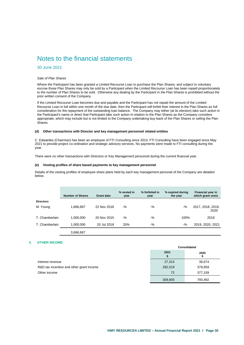### 30 June 2021

#### *Sale of Plan Shares*

Where the Participant has been granted a Limited Recourse Loan to purchase the Plan Shares; and subject to voluntary escrow those Plan Shares may only be sold by a Participant when the Limited Recourse Loan has been repaid proportionately to the number of Plan Shares to be sold. Otherwise any dealing by the Participant in the Plan Shares is prohibited without the prior written consent of the Company.

If the Limited Recourse Loan becomes due and payable and the Participant has not repaid the amount of the Limited Recourse Loan in full within one month of the due date, then the Participant will forfeit their interest in the Plan Shares as full consideration for the repayment of the outstanding loan balance. The Company may either (at its election) take such action in the Participant's name or direct that Participant take such action in relation to the Plan Shares as the Company considers appropriate, which may include but is not limited to the Company undertaking buy-back of the Plan Shares or selling the Plan Shares.

#### **(d) Other transactions with Director and key management personnel related entities**

C. Edwardes (Chairman) has been an employee of FTI Consulting since 2013. FTI Consulting have been engaged since May 2021 to provide project co-ordination and strategic advisory services. No payments were made to FTI consulting during the year.

There were no other transactions with Directors or Key Management personnel during the current financial year.

#### **(e) Vesting profiles of share based payments to key management personnel**

Details of the vesting profiles of employee share plans held by each key management personal of the Company are detailed below.

|                  | <b>Number of Shares</b> | <b>Grant date</b> | % vested in<br>year | % forfeited in<br>year | % expired during<br>the year | Financial year in<br>which grant vests |
|------------------|-------------------------|-------------------|---------------------|------------------------|------------------------------|----------------------------------------|
| <b>Directors</b> |                         |                   |                     |                        |                              |                                        |
| M. Young         | 1,666,667               | 22 Nov 2016       | $-$ %               | $-9/6$                 | $-9/6$                       | 2017, 2018, 2019,<br>2020              |
| T. Chamberlain   | 1.000.000               | 20 Nov 2015       | $-9/6$              | $-9/6$                 | 100%                         | 2018                                   |
| T. Chamberlain   | 1,000,000               | 20 Jul 2018       | 33%                 | $-9/6$                 | $-9/6$                       | 2019, 2020, 2021                       |
|                  | 3.666.667               |                   |                     |                        |                              |                                        |

#### <span id="page-31-0"></span>**OTHER INCOME**

|                                          | Consolidated |           |
|------------------------------------------|--------------|-----------|
|                                          | 2021         | 2020<br>æ |
| Interest revenue                         | 27,314       | 36,674    |
| R&D tax incentive and other grant income | 282,519      | 379,659   |
| Other income                             | 72           | 377,159   |
|                                          | 309,905      | 793,492   |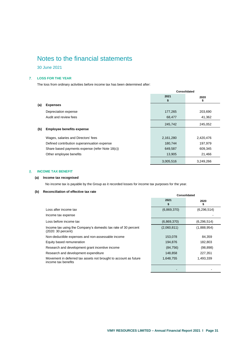30 June 2021

### <span id="page-32-0"></span>**LOSS FOR THE YEAR**

The loss from ordinary activities before income tax has been determined after:

|     |                                                 | Consolidated |            |
|-----|-------------------------------------------------|--------------|------------|
|     |                                                 | 2021<br>\$   | 2020<br>\$ |
| (a) | <b>Expenses</b>                                 |              |            |
|     | Depreciation expense                            | 177,265      | 203,690    |
|     | Audit and review fees                           | 68,477       | 41,362     |
|     |                                                 | 245,742      | 245,052    |
| (b) | <b>Employee benefits expense</b>                |              |            |
|     | Wages, salaries and Directors' fees             | 2,161,280    | 2,420,476  |
|     | Defined contribution superannuation expense     | 180,744      | 197,979    |
|     | Share based payments expense (refer Note 18(c)) | 649,587      | 609,345    |
|     | Other employee benefits                         | 13,905       | 21,466     |
|     |                                                 | 3,005,516    | 3,249,266  |

### <span id="page-32-1"></span>**INCOME TAX BENEFIT**

### **(a) Income tax recognised**

No income tax is payable by the Group as it recorded losses for income tax purposes for the year.

### **(b) Reconciliation of effective tax rate**

|                                                                                         | 2021<br>\$  | 2020          |
|-----------------------------------------------------------------------------------------|-------------|---------------|
| Loss after income tax                                                                   | (6,869,370) | (6, 296, 514) |
| Income tax expense                                                                      |             |               |
| Loss before income tax                                                                  | (6,869,370) | (6, 296, 514) |
| Income tax using the Company's domestic tax rate of 30 percent<br>(2020: 30 percent)    | (2,060,811) | (1,888,954)   |
| Non-deductible expenses and non-assessable income                                       | 153,078     | 84,359        |
| Equity based remuneration                                                               | 194,876     | 182,803       |
| Research and development grant incentive income                                         | (84, 756)   | (98, 898)     |
| Research and development expenditure                                                    | 148,858     | 227,351       |
| Movement in deferred tax assets not brought to account as future<br>income tax benefits | 1,648,755   | 1,493,339     |
|                                                                                         |             |               |

**Consolidated**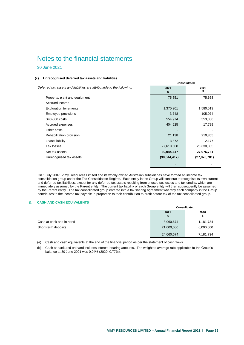### 30 June 2021

#### **(c) Unrecognised deferred tax assets and liabilities**

*Deferred tax assets and liabilities are attributable to the following:* **2021**

|                               | \$           | \$             |
|-------------------------------|--------------|----------------|
| Property, plant and equipment | 75,851       | 75,658         |
| Accrued income                |              |                |
| <b>Exploration tenements</b>  | 1,370,201    | 1,580,513      |
| Employee provisions           | 3,748        | 105,074        |
| S40-880 costs                 | 554,974      | 353,880        |
| Accrued expenses              | 404,525      | 17,789         |
| Other costs                   |              |                |
| Rehabilitation provision      | 21,138       | 210,855        |
| Lease liability               | 3,372        | 2,177          |
| Tax losses                    | 27,610,608   | 25,630,835     |
| Net tax assets                | 30,044,417   | 27,976,781     |
| Unrecognised tax assets       | (30,044,417) | (27, 976, 781) |

**Consolidated**

- -

**2020**

On 1 July 2007, Vimy Resources Limited and its wholly-owned Australian subsidiaries have formed an income tax consolidation group under the Tax Consolidation Regime. Each entity in the Group will continue to recognise its own current and deferred tax liabilities, except for any deferred tax assets resulting from unused tax losses and tax credits, which are immediately assumed by the Parent entity. The current tax liability of each Group entity will then subsequently be assumed by the Parent entity. The tax consolidated group entered into a tax sharing agreement whereby each company in the Group contributes to the income tax payable in proportion to their contribution to profit before tax of the tax consolidated group.

#### <span id="page-33-0"></span> $9<sub>1</sub>$ **CASH AND CASH EQUIVALENTS**

|                          | Consolidated |           |
|--------------------------|--------------|-----------|
|                          | 2021         | 2020<br>Ф |
| Cash at bank and in hand | 3,060,674    | 1,181,734 |
| Short-term deposits      | 21,000,000   | 6,000,000 |
|                          | 24,060,674   | 7,181,734 |

(a) Cash and cash equivalents at the end of the financial period as per the statement of cash flows.

(b) Cash at bank and on hand includes interest-bearing amounts. The weighted average rate applicable to the Group's balance at 30 June 2021 was 0.04% (2020: 0.77%).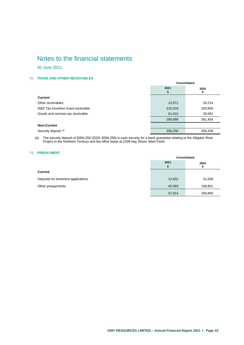30 June 2021

### <span id="page-34-0"></span>**TRADE AND OTHER RECEIVABLES**

|                                    | Consolidated |            |
|------------------------------------|--------------|------------|
|                                    | 2021<br>S    | 2020<br>\$ |
| <b>Current</b>                     |              |            |
| Other receivables                  | 13,971       | 33,214     |
| R&D Tax Incentive Grant receivable | 215,018      | 329,659    |
| Goods and services tax receivable  | 61,010       | 28,581     |
|                                    | 289,999      | 391,454    |
| <b>Non-Current</b>                 |              |            |
| Security deposit (a)               | 356,258      | 356,258    |

(a) The security deposit of \$356,258 (2020: \$356,258) is cash security for a bank guarantee relating to the Alligator River Project in the Northern Territory and the office lease at 1209 Hay Street, West Perth.

#### <span id="page-34-1"></span>11. **PREPAYMENT**

|                                    | Consolidated |           |
|------------------------------------|--------------|-----------|
|                                    | 2021<br>æ    | 2020<br>æ |
| Current                            |              |           |
| Deposits for tenement applications | 12,831       | 31,058    |
| Other prepayments                  | 45,083       | 138,801   |
|                                    | 57,914       | 169,859   |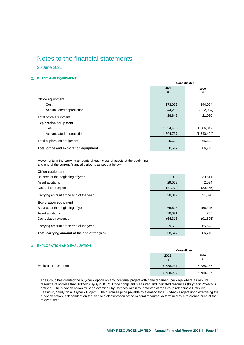30 June 2021

### <span id="page-35-0"></span>**PLANT AND EQUIPMENT**

|                                        | Consolidated |             |
|----------------------------------------|--------------|-------------|
|                                        | 2021         | 2020        |
|                                        | \$           | \$          |
| Office equipment                       |              |             |
| Cost                                   | 273,052      | 244,024     |
| Accumulated depreciation               | (244, 203)   | (222, 934)  |
| Total office equipment                 | 28,849       | 21,090      |
| <b>Exploration equipment</b>           |              |             |
| Cost                                   | 1,634,435    | 1,606,047   |
| Accumulated depreciation               | 1,604,737    | (1,540,424) |
| Total exploration equipment            | 29,698       | 65,623      |
| Total office and exploration equipment | 58,547       | 86,713      |

Movements in the carrying amounts of each class of assets at the beginning and end of the current financial period is as set out below:

| 21,090    | 39,541    |
|-----------|-----------|
| 29,029    | 2,034     |
| (21, 270) | (20, 485) |
| 28,849    | 21,090    |
|           |           |
| 65,623    | 156,445   |
| 28,391    | 703       |
| (64, 316) | (91, 525) |
| 29,698    | 65,623    |
| 58,547    | 86,713    |
|           |           |

### <span id="page-35-1"></span>**EXPLORATION AND EVALUATION**

|                              |            | Consolidated |  |
|------------------------------|------------|--------------|--|
|                              | 2021<br>\$ | 2020<br>\$   |  |
| <b>Exploration Tenements</b> | 5,788,237  | 5,788,237    |  |
|                              | 5,788,237  | 5,788,237    |  |

The Group has granted the buy-back option on any individual project within the tenement package where a uranium resource of not less than 100Mlbs  $U_3O_8$  in JORC Code compliant measured and indicated resources (Buyback Project) is defined. The buyback option must be exercised by Cameco within four months of the Group releasing a Definitive Feasibility Study on a Buyback Project. The purchase price payable by Cameco for a Buyback Project upon exercising the buyback option is dependent on the size and classification of the mineral resource, determined by a reference price at the relevant time.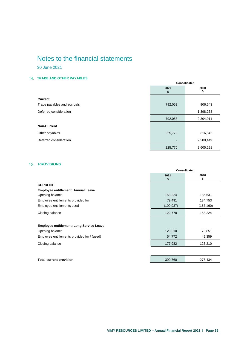30 June 2021

## <span id="page-36-0"></span>**TRADE AND OTHER PAYABLES**

|                             | Consolidated   |            |
|-----------------------------|----------------|------------|
|                             | 2021<br>\$     | 2020<br>\$ |
| <b>Current</b>              |                |            |
| Trade payables and accruals | 792,053        | 906,643    |
| Deferred consideration      | $\blacksquare$ | 1,398,268  |
|                             | 792,053        | 2,304,911  |
| <b>Non-Current</b>          |                |            |
| Other payables              | 225,770        | 316,842    |
| Deferred consideration      |                | 2,288,449  |
|                             | 225,770        | 2,605,291  |

## <span id="page-36-1"></span>**15. PROVISIONS**

|                                                 | Consolidated |            |
|-------------------------------------------------|--------------|------------|
|                                                 | 2021<br>\$   | 2020<br>\$ |
| <b>CURRENT</b>                                  |              |            |
| <b>Employee entitlement: Annual Leave</b>       |              |            |
| Opening balance                                 | 153,224      | 185,631    |
| Employee entitlements provided for              | 79,491       | 134,753    |
| Employee entitlements used                      | (109, 937)   | (167, 160) |
| Closing balance                                 | 122,778      | 153,224    |
|                                                 |              |            |
| <b>Employee entitlement: Long Service Leave</b> |              |            |
| Opening balance                                 | 123,210      | 73,851     |
| Employee entitlements provided for / (used)     | 54,772       | 49,359     |
| Closing balance                                 | 177,982      | 123,210    |
|                                                 |              |            |
| <b>Total current provision</b>                  | 300,760      | 276,434    |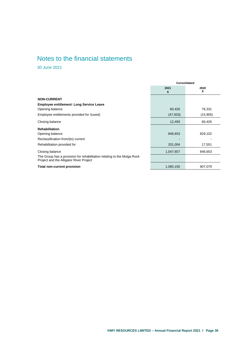30 June 2021

<span id="page-37-0"></span>

| 2021<br>S<br>60,426 | 2020<br>\$ |
|---------------------|------------|
|                     |            |
|                     |            |
|                     |            |
|                     | 76,331     |
| (47, 933)           | (15,905)   |
| 12,493              | 60,426     |
|                     |            |
| 846,653             | 829,102    |
|                     |            |
| 201,004             | 17,551     |
| 1,047,657           | 846,653    |
|                     |            |
| 1,060,150           | 907,079    |
|                     |            |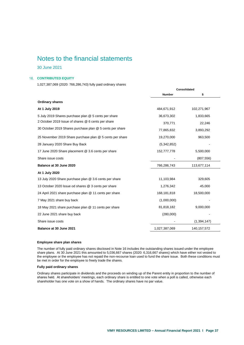30 June 2021

#### **16. CONTRIBUTED EQUITY**

1,027,387,069 (2020: 766,286,743) fully paid ordinary shares

|                                                          | Consolidated  |               |
|----------------------------------------------------------|---------------|---------------|
|                                                          | <b>Number</b> | \$            |
| <b>Ordinary shares</b>                                   |               |               |
| At 1 July 2019                                           | 484,671,912   | 102,271,967   |
| 5 July 2019 Shares purchase plan @ 5 cents per share     | 36,673,302    | 1,833,665     |
| 2 October 2019 Issue of shares @ 6 cents per share       | 370,771       | 22,246        |
| 30 October 2019 Shares purchase plan @ 5 cents per share | 77,865,832    | 3,893,292     |
| 25 November 2019 Share purchase plan @ 5 cents per share | 19,270,000    | 963,500       |
| 28 January 2020 Share Buy Back                           | (5,342,852)   |               |
| 17 June 2020 Share placement @ 3.6 cents per share       | 152,777,778   | 5,500,000     |
| Share issue costs                                        |               | (807, 556)    |
| Balance at 30 June 2020                                  | 766,286,743   | 113,677,114   |
| At 1 July 2020                                           |               |               |
| 13 July 2020 Share purchase plan @ 3.6 cents per share   | 11,103,984    | 329,605       |
| 13 October 2020 Issue od shares @ 3 cents per share      | 1,276,342     | 45,000        |
| 24 April 2021 share purchase plan @ 11 cents per share   | 168,181,818   | 18,500,000    |
| 7 May 2021 share buy back                                | (1,000,000)   |               |
| 18 May 2021 share purchase plan @ 11 cents per share     | 81,818,182    | 9,000,000     |
| 22 June 2021 share buy back                              | (280,000)     |               |
| Share issue costs                                        |               | (1, 394, 147) |
| Balance at 30 June 2021                                  | 1,027,387,069 | 140, 157, 572 |

#### **Employee share plan shares**

The number of fully paid ordinary shares disclosed in Note 16 includes the outstanding shares issued under the employee share plans. At 30 June 2021 this amounted to 5,036,667 shares (2020: 6,316,667 shares) which have either not vested to the employee or the employee has not repaid the non-recourse loan used to fund the share issue. Both these conditions must be met in order for the employee to freely trade the shares.

### **Fully paid ordinary shares**

Ordinary shares participate in dividends and the proceeds on winding up of the Parent entity in proportion to the number of shares held. At shareholders' meetings, each ordinary share is entitled to one vote when a poll is called, otherwise each shareholder has one vote on a show of hands. The ordinary shares have no par value.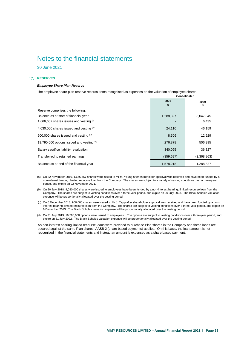30 June 2021

### <span id="page-39-0"></span>17. RESERVES

#### *Employee Share Plan Reserve*

The employee share plan reserve records items recognised as expenses on the valuation of employee shares.

|                                           | Consolidated |             |
|-------------------------------------------|--------------|-------------|
|                                           | 2021<br>\$   | 2020<br>æ.  |
| Reserve comprises the following:          |              |             |
| Balance as at start of financial year     | 1,288,327    | 3,047,845   |
| 1,666,667 shares issues and vesting (a)   |              | 6,435       |
| 4,030,000 shares issued and vesting (b)   | 24,110       | 46,159      |
| 900,000 shares issued and vesting (c)     | 8,506        | 12,929      |
| 19,790,000 options issued and vesting (d) | 276,878      | 506,995     |
| Salary sacrifice liability revaluation    | 340,095      | 36,827      |
| Transferred to retained earnings          | (359, 697)   | (2,368,863) |
| Balance as at end of the financial year   | 1,578,218    | 1,288,327   |

(a) On 22 November 2016, 1,666,667 shares were issued to Mr M. Young after shareholder approval was received and have been funded by a non-interest bearing, limited recourse loan from the Company. The shares are subject to a variety of vesting conditions over a three-year period, and expire on 22 November 2021.

- (b) On 20 July 2018, 4,030,000 shares were issued to employees have been funded by a non-interest bearing, limited recourse loan from the Company. The shares are subject to vesting conditions over a three-year period, and expire on 20 July 2023. The Black Scholes valuation expense will be proportionally allocated over the vesting period.
- (c) On 6 December 2018, 900,000 shares were issued to Mr J. Tapp after shareholder approval was received and have been funded by a noninterest bearing, limited recourse loan from the Company. The shares are subject to vesting conditions over a three-year period, and expire on 6 December 2023. The Black Scholes valuation expense will be proportionally allocated over the vesting period.

(d) On 31 July 2019, 19,790,000 options were issued to employees . The options are subject to vesting conditions over a three-year period, and expire on 31 July 2022. The Black Scholes valuation expense will be proportionally allocated over the vesting period.

As non-interest bearing limited recourse loans were provided to purchase Plan shares in the Company and these loans are secured against the same Plan shares, AASB 2 (share based payments) applies. On this basis, the loan amount is not recognised in the financial statements and instead an amount is expensed as a share based payment.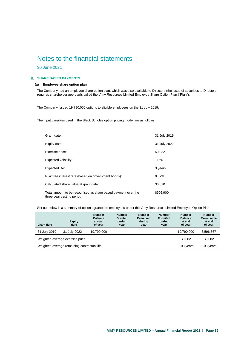30 June 2021

#### <span id="page-40-0"></span>**SHARE BASED PAYMENTS**

### **(a) Employee share option plan**

The Company had an employee share option plan, which was also available to Directors (the issue of securities to Directors requires shareholder approval), called the Vimy Resources Limited Employee Share Option Plan ("Plan").

The Company issued 19,790,000 options to eligible employees on the 31 July 2019.

The input variables used in the Black Scholes option pricing model are as follows:

| Grant date:                                                                                | 31 July 2019 |
|--------------------------------------------------------------------------------------------|--------------|
| Expiry date:                                                                               | 31 July 2022 |
| Exercise price:                                                                            | \$0.082      |
| Expected volatility:                                                                       | 115%         |
| Expected life:                                                                             | 3 years      |
| Risk free interest rate (based on government bonds):                                       | 0.87%        |
| Calculated share value at grant date:                                                      | \$0.070      |
| Total amount to be recognised as share based payment over the<br>three year vesting period | \$906,900    |

Set out below is a summary of options granted to employees under the Vimy Resources Limited Employee Option Plan:

| <b>Grant date</b>                           | <b>Expiry</b><br>date | <b>Number</b><br><b>Balance</b><br>at start<br>of year | <b>Number</b><br>Granted<br>during<br>year | <b>Number</b><br><b>Exercised</b><br>during<br>year | <b>Number</b><br><b>Forfeited</b><br>during<br>year | <b>Number</b><br><b>Balance</b><br>at end<br>of year | <b>Number</b><br><b>Exercisable</b><br>at end<br>of year |
|---------------------------------------------|-----------------------|--------------------------------------------------------|--------------------------------------------|-----------------------------------------------------|-----------------------------------------------------|------------------------------------------------------|----------------------------------------------------------|
| 31 July 2019                                | 31 July 2022          | 19.790.000                                             | -                                          | $\overline{\phantom{a}}$                            | ۰                                                   | 19.790.000                                           | 6.596.667                                                |
| Weighted average exercise price             |                       |                                                        |                                            |                                                     |                                                     | \$0.082                                              | \$0.082                                                  |
| Weighted average remaining contractual life |                       |                                                        |                                            |                                                     | $1.08$ years                                        | 1.08 years                                           |                                                          |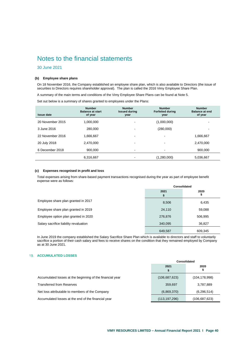### 30 June 2021

#### **(b) Employee share plans**

On 18 November 2016, the Company established an employee share plan, which is also available to Directors (the issue of securities to Directors requires shareholder approval). The plan is called the 2016 Vimy Employee Share Plan.

A summary of the main terms and conditions of the Vimy Employee Share Plans can be found at Note 5.

Set out below is a summary of shares granted to employees under the Plans:

| <b>Issue date</b> | <b>Number</b><br><b>Balance at start</b><br>of year | <b>Number</b><br><b>Issued during</b><br>year | <b>Number</b><br><b>Forfeited during</b><br>year | <b>Number</b><br><b>Balance at end</b><br>of year |
|-------------------|-----------------------------------------------------|-----------------------------------------------|--------------------------------------------------|---------------------------------------------------|
| 20 November 2015  | 1,000,000                                           |                                               | (1,000,000)                                      |                                                   |
| 3 June 2016       | 280.000                                             |                                               | (280,000)                                        |                                                   |
| 22 November 2016  | 1,666,667                                           | -                                             | ٠                                                | 1,666,667                                         |
| 20 July 2018      | 2,470,000                                           | -                                             | ٠                                                | 2,470,000                                         |
| 6 December 2018   | 900,000                                             | $\blacksquare$                                | ۰                                                | 900,000                                           |
|                   | 6,316,667                                           |                                               | (1,280,000)                                      | 5,036,667                                         |

#### **(c) Expenses recognised in profit and loss**

Total expenses arising from share-based payment transactions recognised during the year as part of employee benefit expense were as follows:

|                                        | Consolidated |            |
|----------------------------------------|--------------|------------|
|                                        | 2021         | 2020<br>\$ |
| Employee share plan granted in 2017    | 8,506        | 6,435      |
| Employee share plan granted in 2019    | 24,110       | 59,088     |
| Employee option plan granted in 2020   | 276,876      | 506,995    |
| Salary sacrifice liability revaluation | 340,095      | 36,827     |
|                                        | 649,587      | 609,345    |

In June 2019 the company established the Salary Sacrifice Share Plan which is available to directors and staff to voluntarily sacrifice a portion of their cash salary and fees to receive shares on the condition that they remained employed by Company as at 30 June 2021.

### <span id="page-41-0"></span>**ACCUMULATED LOSSES**

|                                                           | Consolidated    |                 |  |
|-----------------------------------------------------------|-----------------|-----------------|--|
|                                                           | 2021            | 2020<br>Ф       |  |
| Accumulated losses at the beginning of the financial year | (106, 687, 623) | (104, 178, 998) |  |
| <b>Transferred from Reserves</b>                          | 359,697         | 3,787,889       |  |
| Net loss attributable to members of the Company           | (6,869,370)     | (6, 296, 514)   |  |
| Accumulated losses at the end of the financial year       | (113, 197, 296) | (106,687,623)   |  |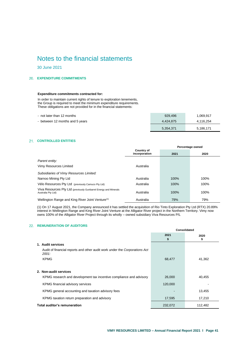30 June 2021

### <span id="page-42-0"></span>**EXPENDITURE COMMITMENTS**

#### **Expenditure commitments contracted for:**

In order to maintain current rights of tenure to exploration tenements, the Group is required to meet the minimum expenditure requirements. These obligations are not provided for in the financial statements:

| - not later than 12 months      | 929.496   | 1,069,917 |
|---------------------------------|-----------|-----------|
| - between 12 months and 5 years | 4,424,875 | 4,116,254 |
|                                 | 5,354,371 | 5,186,171 |

### <span id="page-42-1"></span>**CONTROLLED ENTITIES**

|                                                                                        |                                    | Percentage owned |      |  |
|----------------------------------------------------------------------------------------|------------------------------------|------------------|------|--|
|                                                                                        | <b>Country of</b><br>incorporation | 2021             | 2020 |  |
| Parent entity:                                                                         |                                    |                  |      |  |
| Vimy Resources Limited                                                                 | Australia                          |                  |      |  |
| Subsidiaries of Vimy Resources Limited:                                                |                                    |                  |      |  |
| Narnoo Mining Pty Ltd                                                                  | Australia                          | 100%             | 100% |  |
| Vélo Resources Pty Ltd (previously Camuco Pty Ltd)                                     | Australia                          | 100%             | 100% |  |
| Viva Resources Pty Ltd (previously Gunbarrel Energy and Minerals<br>Australia Pty Ltd) | Australia                          | 100%             | 100% |  |
| Wellington Range and King River Joint Venture <sup>(1)</sup>                           | Australia                          | 79%              | 79%  |  |

<span id="page-42-2"></span>(1) On 17 August 2021, the Company announced it has settled the acquisition of Rio Tinto Exploration Pty Ltd (RTX) 20.89% interest in Wellington Range and King River Joint Venture at the Alligator River project in the Northern Territory. Vimy now owns 100% of the Alligator River Project through its wholly – owned subsidiary Viva Resources P/L

#### **22. REMUNERATION OF AUDITORS**

|                                                                                     | Consolidated |         |
|-------------------------------------------------------------------------------------|--------------|---------|
|                                                                                     | 2021<br>2020 |         |
|                                                                                     | \$           | \$      |
| 1. Audit services                                                                   |              |         |
| Audit of financial reports and other audit work under the Corporations Act<br>2001: |              |         |
| <b>KPMG</b>                                                                         | 68,477       | 41,362  |
|                                                                                     |              |         |
| 2. Non-audit services                                                               |              |         |
| KPMG research and development tax incentive compliance and advisory                 | 26,000       | 40,455  |
| KPMG financial advisory services                                                    | 120,000      |         |
| KPMG general accounting and taxation advisory fees                                  |              | 13,455  |
| KPMG taxation return preparation and advisory                                       | 17,595       | 17,210  |
| Total auditor's remuneration                                                        | 232,072      | 112,482 |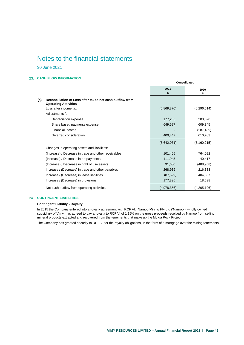30 June 2021

### <span id="page-43-0"></span>**CASH FLOW INFORMATION**

|                                                                                                 | 2021<br>\$  | 2020          |
|-------------------------------------------------------------------------------------------------|-------------|---------------|
| Reconciliation of Loss after tax to net cash outflow from<br>(a)<br><b>Operating Activities</b> |             |               |
| Loss after income tax                                                                           | (6,869,370) | (6, 296, 514) |
| Adjustments for:                                                                                |             |               |
| Depreciation expense                                                                            | 177,265     | 203,690       |
| Share based payments expense                                                                    | 649,587     | 609,345       |
| Financial Income                                                                                |             | (287, 439)    |
| Deferred consideration                                                                          | 400,447     | 610,703       |
|                                                                                                 | (5,642,071) | (5, 160, 215) |
| Changes in operating assets and liabilities:                                                    |             |               |
| (Increase) / Decrease in trade and other receivables                                            | 101,455     | 764,092       |
| (Increase) / Decrease in prepayments                                                            | 111,945     | 40,417        |
| (Increase) / Decrease in right of use assets                                                    | 91,680      | (488, 958)    |
| Increase / (Decrease) in trade and other payables                                               | 268,939     | 216,333       |
| Increase / (Decrease) in lease liabilities                                                      | (87, 699)   | 404,537       |
| Increase / (Decrease) in provisions                                                             | 177,395     | 18,598        |
| Net cash outflow from operating activities                                                      | (4,978,356) | (4,205,196)   |

**Consolidated**

### <span id="page-43-1"></span>**CONTINGENT LIABILITIES**

### **Contingent Liability - Royalty**

In 2015 the Company entered into a royalty agreement with RCF VI. Narnoo Mining Pty Ltd ('Narnoo'), wholly owned subsidiary of Vimy, has agreed to pay a royalty to RCF VI of 1.15% on the gross proceeds received by Narnoo from selling mineral products extracted and recovered from the tenements that make up the Mulga Rock Project.

The Company has granted security to RCF VI for the royalty obligations, in the form of a mortgage over the mining tenements.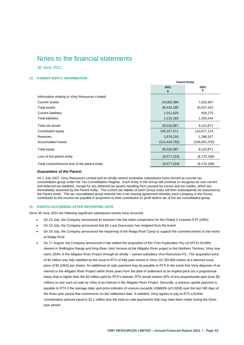30 June 2021

### <span id="page-44-0"></span>**PARENT ENTITY INFORMATION**

|                                                 | <b>Parent Entity</b> |                 |  |
|-------------------------------------------------|----------------------|-----------------|--|
|                                                 | 2021<br>\$           | 2020<br>\$      |  |
| Information relating to Vimy Resources Limited: |                      |                 |  |
| Current assets                                  | 24,053,366           | 7,622,687       |  |
| Total assets                                    | 30,432,180           | 10,427,415      |  |
| <b>Current liabilities</b>                      | 1,011,623            | 926,275         |  |
| <b>Total liabilities</b>                        | 1,115,183            | 1,303,544       |  |
| Total net assets                                | 29,316,997           | 9,123,871       |  |
| Contributed equity                              | 140, 157, 571        | 113,677,114     |  |
| Reserves                                        | 1,578,218            | 1,288,327       |  |
| <b>Accumulated losses</b>                       | (112, 418, 792)      | (105, 841, 570) |  |
| Total equity                                    | 29,316,997           | 9,123,871       |  |
| Loss of the parent entity                       | (6, 577, 224)        | (6, 170, 168)   |  |
| Total comprehensive loss of the parent entity   | (6, 577, 224)        | (6, 170, 168)   |  |

#### **Guarantees of the Parent:**

On 1 July 2007, Vimy Resources Limited and its wholly-owned Australian subsidiaries have formed an income tax consolidation group under the Tax Consolidation Regime. Each entity in the Group will continue to recognise its own current and deferred tax liabilities, except for any deferred tax assets resulting from unused tax losses and tax credits, which are immediately assumed by the Parent entity. The current tax liability of each Group entity will then subsequently be assumed by the Parent entity. The tax consolidated group entered into a tax sharing agreement whereby each company in the Group contributes to the income tax payable in proportion to their contribution to profit before tax of the tax consolidated group.

#### <span id="page-44-1"></span>**EVENTS OCCURRING AFTER REPORTING DATE**

Since 30 June 2021 the following significant subsequent events have occurred:

- On 23 July, the Company announced its inclusion into the index composition for the Global X Uranium ETF (URA)
- On 23 July, the Company announced that Mr Luca Giacovazzi has resigned from the board
- On 29 July, the Company announced the reopening of the Mulga Rock Camp to support the commencement of site works at Mulga Rock
- On 17 August, the Company announced it has settled the acquisition of Rio Tinto Exploration Pty Ltd (RTX) 20.89% interest in Wellington Range and King River Joint Venture at the Alligator River project in the Northern Territory. Vimy now owns 100% of the Alligator River Project through its wholly – owned subsidiary Viva Resources P/L. The acquisition price of \$2 million was fully satisfied by the issue to RTX of fully paid shares in Vimy (18,793,069 shares at a deemed issue price of \$0.10642 per share). An additional on-sale payment may be payable to RTX in the event that Vimy disposes of an interest in the Alligator River Project within three years from the date of settlement at an implied price (on a proportional basis) that is higher than the \$2 million paid for RTX's interest. RTX would receive 30% of any proportionate gain (over \$2 million) on any such on-sale by Vimy of an interest in the Alligator River Project. Secondly, a uranium upside payment is payable to RTX if the average daily spot price indicator of uranium exceeds US\$60/lb (of U3O8) over the last 180 days of the three-year period that commences on the settlement date. If satisfied, Vimy agrees to pay to RTX a further consideration amount equal to \$1.1 million less the total on-sale payment(s) that may have been made during the threeyear period.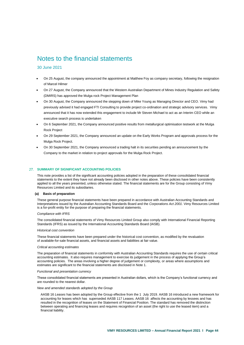#### 30 June 2021

- On 25 August, the company announced the appointment at Matthew Foy as company secretary, following the resignation of Marcel Hilmer
- On 27 August, the Company announced that the Western Australian Department of Mines Industry Regulation and Safety (DMIRS) has approved the Mulga rock Project Management Plan
- On 30 August, the Company announced the stepping down of Mike Young as Managing Director and CEO. Vimy had previously advised it had engaged FTI Consulting to provide project co-ordination and strategic advisory services. Vimy announced that it has now extended this engagement to include Mr Steven Michael to act as an Interim CEO while an executive search process is undertaken
- On 6 September 2021, the Company announced positive results from metallurgical optimisation testwork at the Mulga Rock Project
- On 29 September 2021, the Company announced an update on the Early Works Program and approvals process for the Mulga Rock Project.
- On 30 September 2021, the Company announced a trading halt in its securities pending an announcement by the Company to the market in relation to project approvals for the Mulga Rock Project.

#### <span id="page-45-0"></span>27. SUMMARY OF SIGNIFICANT ACCOUNTING POLICIES

This note provides a list of the significant accounting policies adopted in the preparation of these consolidated financial statements to the extent they have not already been disclosed in other notes above. These policies have been consistently applied to all the years presented, unless otherwise stated. The financial statements are for the Group consisting of Vimy Resources Limited and its subsidiaries.

#### **(a) Basis of preparation**

These general purpose financial statements have been prepared in accordance with Australian Accounting Standards and Interpretations issued by the Australian Accounting Standards Board and the *Corporations Act 2001*. Vimy Resources Limited is a for-profit entity for the purpose of preparing the financial statements.

#### *Compliance with IFRS*

The consolidated financial statements of Vimy Resources Limited Group also comply with International Financial Reporting Standards (IFRS) as issued by the International Accounting Standards Board (IASB).

#### *Historical cost convention*

These financial statements have been prepared under the historical cost convention, as modified by the revaluation of available-for-sale financial assets, and financial assets and liabilities at fair value.

#### *Critical accounting estimates*

The preparation of financial statements in conformity with Australian Accounting Standards requires the use of certain critical accounting estimates. It also requires management to exercise its judgement in the process of applying the Group's accounting policies. The areas involving a higher degree of judgement or complexity, or areas where assumptions and estimates are significant to the financial statements are disclosed in Note 1.

#### *Functional and presentation currency*

These consolidated financial statements are presented in Australian dollars, which is the Company's functional currency and are rounded to the nearest dollar.

#### *New and amended standards adopted by the Group*

AASB 16 *Leases* has been adopted by the Group effective from the 1 July 2019. AASB 16 introduced a new framework for accounting for leases which has superseded AASB 117 Leases. AASB 16 affects the accounting by lessees and has resulted in the recognition of leases on the Statement of Financial Position. The standard has removed the distinction between operating and financing leases and requires recognition of an asset (the right to use the leased item) and a financial liability.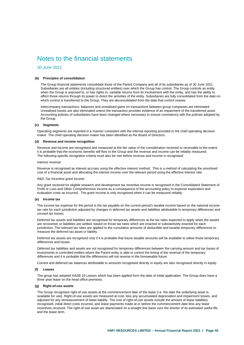30 June 2021

#### **(b) Principles of consolidation**

The Group financial statements consolidate those of the Parent Company and all of its subsidiaries as of 30 June 2021. Subsidiaries are all entities (including structured entities) over which the Group has control. The Group controls an entity when the Group is exposed to, or has rights to, variable returns from its involvement with the entity, and has the ability to affect those returns through its power to direct the activities of the entity. Subsidiaries are fully consolidated from the date on which control is transferred to the Group. They are deconsolidated from the date that control ceases.

Intercompany transactions, balances and unrealised gains on transactions between group companies are eliminated. Unrealised losses are also eliminated unless the transaction provides evidence of an impairment of the transferred asset. Accounting policies of subsidiaries have been changed where necessary to ensure consistency with the policies adopted by the Group.

#### **(c) Segments**

Operating segments are reported in a manner consistent with the internal reporting provided to the chief operating decision maker. The chief operating decision maker has been identified as the Board of Directors.

#### **(d) Revenue and income recognition**

Revenue and income are recognised and measured at the fair value of the consideration received or receivable to the extent it is probable that the economic benefits will flow to the Group and the revenue and income can be reliably measured. The following specific recognition criteria must also be met before revenue and income is recognised:

#### *Interest revenue*

Revenue is recognised as interest accrues using the effective interest method. This is a method of calculating the amortised cost of a financial asset and allocating the interest income over the relevant period using the effective interest rate.

#### *R&D Tax Incentive grant income*

Any grant received for eligible research and development tax incentive income is recognised in the Consolidated Statement of Profit or Loss and Other Comprehensive Income as a consequence of the accounting policy to expense exploration and evaluation costs as incurred. The grant income is only recognised when it can be measured reliably.

#### **(e) Income tax**

The income tax expense for the period is the tax payable on the current period's taxable income based on the national income tax rate for each jurisdiction adjusted by changes in deferred tax assets and liabilities attributable to temporary differences and unused tax losses.

Deferred tax assets and liabilities are recognised for temporary differences at the tax rates expected to apply when the assets are recovered, or liabilities are settled, based on those tax rates which are enacted or substantively enacted for each jurisdiction. The relevant tax rates are applied to the cumulative amounts of deductible and taxable temporary differences to measure the deferred tax asset or liability.

Deferred tax assets are recognised only if it is probable that future taxable amounts will be available to utilise those temporary differences and losses.

Deferred tax liabilities and assets are not recognised for temporary differences between the carrying amount and tax bases of investments in controlled entities where the Parent entity is able to control the timing of the reversal of the temporary differences and it is probable that the differences will not reverse in the foreseeable future.

Current and deferred tax balances attributable to amounts recognised directly in equity are also recognised directly in equity.

#### **(f) Leases**

The group has adopted AASB 16 *Leases* which has been applied form the date of initial application. The Group does have a three year lease on the head office premises.

#### **(g) Right-of-use assets**

The Group recognises right-of-use assets at the commencement date of the lease (i.e. the date the underlying asset is available for use). Right-of-use assets are measured at cost, less any accumulated depreciation and impairment losses, and adjusted for any remeasurement of lease liability. The cost of right-of-use assets include the amount of lease liabilities recognised, initial direct costs incurred, and lease payments made at or before the commencement date less any lease incentives received. The right-of-use asset are depreciated on a straight line basis over the shorter of its estimated useful life and the lease term.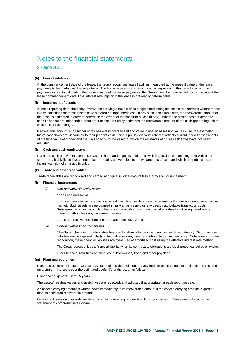30 June 2021

#### **(h) Lease Liabilities**

At the commencement date of the lease, the group recognises lease liabilities measured at the present value of the lease payments to be made over the lease term. The lease payments are recognised as expenses in the period in which the payments occur. In calculating the present value of the lease payments, the Group uses the incremental borrowing rate at the lease commencement date if the interest rate implicit in the lease is not readily determinable.

#### **(i) Impairment of assets**

At each reporting date, the entity reviews the carrying amounts of its tangible and intangible assets to determine whether there is any indication that those assets have suffered an impairment loss. If any such indication exists, the recoverable amount of the asset is estimated in order to determine the extent of the impairment loss (if any). Where the asset does not generate cash flows that are independent from other assets, the entity estimates the recoverable amount of the cash-generating unit to which the asset belongs.

Recoverable amount is the higher of fair value less costs to sell and value in use. In assessing value in use, the estimated future cash flows are discounted to their present value using a pre-tax discount rate that reflects current market assessments of the time value of money and the risks specific to the asset for which the estimates of future cash flows have not been adiusted.

#### **(j) Cash and cash equivalents**

Cash and cash equivalents comprise cash on hand and deposits held at call with financial institutions, together with other short-term, highly liquid investments that are readily convertible into known amounts of cash and which are subject to an insignificant risk of changes in value.

#### **(k) Trade and other receivables**

Trade receivables are recognised and carried at original invoice amount less a provision for impairment.

#### **(l) Financial instruments**

*(i) Non-derivative financial assets*

*Loans and receivables*

Loans and receivables are financial assets with fixed or determinable payments that are not quoted in an active market. Such assets are recognised initially at fair value plus any directly attributable transaction costs. Subsequent to initial recognition loans and receivables are measured at amortised cost using the effective interest method, less any impairment losses.

Loans and receivables comprise trade and other receivables.

*(ii) Non-derivative financial liabilities*

The Group classifies non-derivative financial liabilities into the other financial liabilities category. Such financial liabilities are recognised initially at fair value less any directly attributable transaction costs. Subsequent to initial recognition, these financial liabilities are measured at amortised cost using the effective interest rate method.

The Group derecognises a financial liability when its contractual obligations are discharged, cancelled or expire.

Other financial liabilities comprise loans, borrowings, trade and other payables.

#### **(m) Plant and equipment**

Plant and equipment is stated at cost less accumulated depreciation and any impairment in value. Depreciation is calculated on a straight-line basis over the estimated useful life of the asset as follows:

Plant and equipment – 2 to 15 years

The assets' residual values and useful lives are reviewed, and adjusted if appropriate, at each reporting date.

An asset's carrying amount is written down immediately to its recoverable amount if the asset's carrying amount is greater than its estimated recoverable amount.

Gains and losses on disposals are determined by comparing proceeds with carrying amount. These are included in the statement of comprehensive income.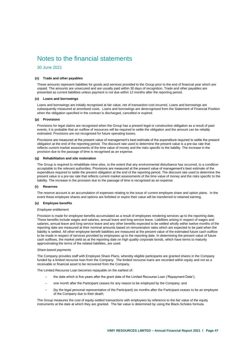30 June 2021

#### **(n) Trade and other payables**

These amounts represent liabilities for goods and services provided to the Group prior to the end of financial year which are unpaid. The amounts are unsecured and are usually paid within 30 days of recognition. Trade and other payables are presented as current liabilities unless payment is not due within 12 months after the reporting period.

#### **(o) Loans and borrowings**

Loans and borrowings are initially recognised at fair value, net of transaction cost incurred. Loans and borrowings are subsequently measured at amortised costs. Loans and borrowings are derecognised from the Statement of Financial Position when the obligation specified in the contract is discharged, cancelled or expired.

#### **(p) Provisions**

Provisions for legal claims are recognised when the Group has a present legal or constructive obligation as a result of past events, it is probable that an outflow of resources will be required to settle the obligation and the amount can be reliably estimated. Provisions are not recognised for future operating losses.

Provisions are measured at the present value of management's best estimate of the expenditure required to settle the present obligation at the end of the reporting period. The discount rate used to determine the present value is a pre-tax rate that reflects current market assessments of the time value of money and the risks specific to the liability. The increase in the provision due to the passage of time is recognised as an expense.

#### **(q) Rehabilitation and site restoration**

The Group is required to rehabilitate mine sites, to the extent that any environmental disturbance has occurred, to a condition acceptable to the relevant authorities. Provisions are measured at the present value of management's best estimate of the expenditure required to settle the present obligation at the end of the reporting period. The discount rate used to determine the present value is a pre-tax rate that reflects current market assessments of the time value of money and the risks specific to the liability. The increase in the provision due to the passage of time is recognised as an expense.

#### **(r) Reserves**

The reserve account is an accumulation of expenses relating to the issue of current employee share and option plans. In the event these employee shares and options are forfeited or expire their value will be transferred to retained earning.

#### **(s) Employee benefits**

#### *Employee entitlement*

Provision is made for employee benefits accumulated as a result of employees rendering services up to the reporting date. These benefits include wages and salaries, annual leave and long service leave. Liabilities arising in respect of wages and salaries, annual leave and long service leave and any other benefits expected to be settled wholly within twelve months of the reporting date are measured at their nominal amounts based on remuneration rates which are expected to be paid when the liability is settled. All other employee benefit liabilities are measured at the present value of the estimated future cash outflow to be made in respect of services provided by employees up to the reporting date. In determining the present value of future cash outflows, the market yield as at the reporting date on high quality corporate bonds, which have terms to maturity approximating the terms of the related liabilities, are used.

#### *Share-based payments*

The Company provides staff with Employee Share Plans, whereby eligible participants are granted shares in the Company funded by a limited recourse loan from the Company. The limited recourse loans are recorded within equity and not as a receivable or financial asset to be recovered from the Company.

The Limited Recourse Loan becomes repayable on the earliest of:

- the date which is five years after the grant date of the Limited Recourse Loan ('Repayment Date');
- ─ one month after the Participant ceases for any reason to be employed by the Company; and
- (by the legal personal representative of the Participant) six months after the Participant ceases to be an employee of the Company due to their death;

The Group measures the cost of equity-settled transactions with employees by reference to the fair value of the equity instruments at the date at which they are granted. The fair value is determined by using the Black-Scholes formula.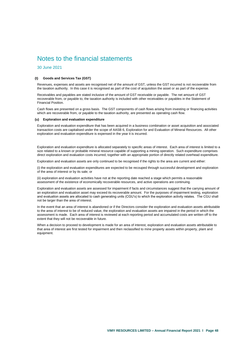30 June 2021

#### **(t) Goods and Services Tax (GST)**

Revenues, expenses and assets are recognised net of the amount of GST, unless the GST incurred is not recoverable from the taxation authority. In this case it is recognised as part of the cost of acquisition the asset or as part of the expense.

Receivables and payables are stated inclusive of the amount of GST receivable or payable. The net amount of GST recoverable from, or payable to, the taxation authority is included with other receivables or payables in the Statement of Financial Position.

Cash flows are presented on a gross basis. The GST components of cash flows arising from investing or financing activities which are recoverable from, or payable to the taxation authority, are presented as operating cash flow.

#### **(u) Exploration and evaluation expenditure**

Exploration and evaluation expenditure that has been acquired in a business combination or asset acquisition and associated transaction costs are capitalised under the scope of AASB 6, Exploration for and Evaluation of Mineral Resources. All other exploration and evaluation expenditure is expensed in the year it is incurred.

Exploration and evaluation expenditure is allocated separately to specific areas of interest. Each area of interest is limited to a size related to a known or probable mineral resource capable of supporting a mining operation. Such expenditure comprises direct exploration and evaluation costs incurred, together with an appropriate portion of directly related overhead expenditure.

Exploration and evaluation assets are only continued to be recognised if the rights to the area are current and either:

(i) the exploration and evaluation expenditures are expected to be recouped through successful development and exploration of the area of interest or by its sale; or

(ii) exploration and evaluation activities have not at the reporting date reached a stage which permits a reasonable assessment of the existence of economically recoverable resources, and active operations are continuing.

Exploration and evaluation assets are assessed for impairment if facts and circumstances suggest that the carrying amount of an exploration and evaluation asset may exceed its recoverable amount. For the purposes of impairment testing, exploration and evaluation assets are allocated to cash generating units (CGU's) to which the exploration activity relates. The CGU shall not be larger than the area of interest.

In the event that an area of interest is abandoned or if the Directors consider the exploration and evaluation assets attributable to the area of interest to be of reduced value, the exploration and evaluation assets are impaired in the period in which the assessment is made. Each area of interest is reviewed at each reporting period and accumulated costs are written off to the extent that they will not be recoverable in future.

When a decision to proceed to development is made for an area of interest, exploration and evaluation assets attributable to that area of interest are first tested for impairment and then reclassified to mine property assets within property, plant and equipment.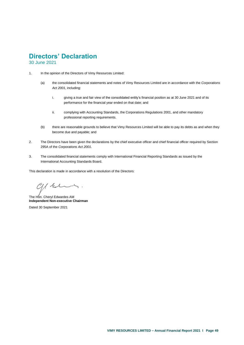# **Directors' Declaration**

30 June 2021

- <span id="page-50-0"></span>1. In the opinion of the Directors of Vimy Resources Limited:
	- (a) the consolidated financial statements and notes of Vimy Resources Limited are in accordance with the *Corporations Act 2001*, including:
		- i. giving a true and fair view of the consolidated entity's financial position as at 30 June 2021 and of its performance for the financial year ended on that date; and
		- ii. complying with Accounting Standards, the Corporations Regulations 2001, and other mandatory professional reporting requirements.
	- (b) there are reasonable grounds to believe that Vimy Resources Limited will be able to pay its debts as and when they become due and payable; and
- 2. The Directors have been given the declarations by the chief executive officer and chief financial officer required by Section 295A of the *Corporations Act 2001*.
- 3. The consolidated financial statements comply with International Financial Reporting Standards as issued by the International Accounting Standards Board.

This declaration is made in accordance with a resolution of the Directors:

 $C1/k$ 

The Hon. Cheryl Edwardes AM **Independent Non-executive Chairman**

Dated 30 September 2021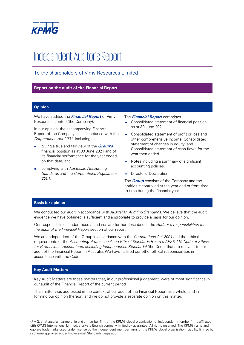

# Independent Auditor's Report

# To the shareholders of Vimy Resources Limited

### **Report on the audit of the Financial Report**

### **Opinion**

We have audited the **Financial Report** of Vimy Resources Limited (the Company).

In our opinion, the accompanying Financial Report of the Company is in accordance with the Corporations Act 2001, including:

- giving a true and fair view of the **Group's** financial position as at 30 June 2021 and of its financial performance for the year ended on that date; and
- complying with Australian Accounting Standards and the Corporations Regulations 2001.

### The **Financial Report** comprises:

- Consolidated statement of financial position as at 30 June 2021.
- Consolidated statement of profit or loss and other comprehensive income, Consolidated statement of changes in equity, and Consolidated statement of cash flows for the year then ended.
- Notes including a summary of significant accounting policies.
- Directors' Declaration.

The **Group** consists of the Company and the entities it controlled at the year-end or from time to time during the financial year.

### **Basis for opinion**

We conducted our audit in accordance with Australian Auditing Standards. We believe that the audit evidence we have obtained is sufficient and appropriate to provide a basis for our opinion.

Our responsibilities under those standards are further described in the Auditor's responsibilities for the audit of the Financial Report section of our report.

We are independent of the Group in accordance with the Corporations Act 2001 and the ethical requirements of the Accounting Professional and Ethical Standards Board's APES 110 Code of Ethics for Professional Accountants (including Independence Standards) (the Code) that are relevant to our audit of the Financial Report in Australia. We have fulfilled our other ethical responsibilities in accordance with the Code.

### **Key Audit Matters**

Key Audit Matters are those matters that, in our professional judgement, were of most significance in our audit of the Financial Report of the current period.

This matter was addressed in the context of our audit of the Financial Report as a whole, and in forming our opinion thereon, and we do not provide a separate opinion on this matter.

KPMG, an Australian partnership and a member firm of the KPMG global organisation of independent member firms affiliated with KPMG International Limited, a private English company limited by guarantee. All rights reserved. The KPMG name and logo are trademarks used under license by the independent member firms of the KPMG global organisation. Liability limited by a scheme approved under Professional Standards Legislation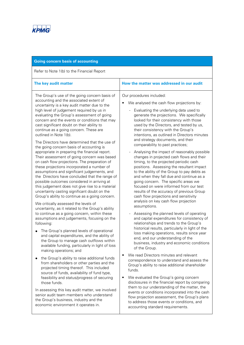

| <b>Going concern basis of accounting</b>                                                                                                                                                                                                                                                                                                                                                                                                                                                                                                                                                                                                                                                                                                                                                                                                                                                                                                                                                                                                                                                                                                                                                                                                                                                                                                                                                                                                  |                                                                                                                                                                                                                                                                                                                                                                                                                                                                                                                                                                                                                                                                                                                                                                                                                                                                                                                                                                                                                                                                                                                                                                                                                                                                               |
|-------------------------------------------------------------------------------------------------------------------------------------------------------------------------------------------------------------------------------------------------------------------------------------------------------------------------------------------------------------------------------------------------------------------------------------------------------------------------------------------------------------------------------------------------------------------------------------------------------------------------------------------------------------------------------------------------------------------------------------------------------------------------------------------------------------------------------------------------------------------------------------------------------------------------------------------------------------------------------------------------------------------------------------------------------------------------------------------------------------------------------------------------------------------------------------------------------------------------------------------------------------------------------------------------------------------------------------------------------------------------------------------------------------------------------------------|-------------------------------------------------------------------------------------------------------------------------------------------------------------------------------------------------------------------------------------------------------------------------------------------------------------------------------------------------------------------------------------------------------------------------------------------------------------------------------------------------------------------------------------------------------------------------------------------------------------------------------------------------------------------------------------------------------------------------------------------------------------------------------------------------------------------------------------------------------------------------------------------------------------------------------------------------------------------------------------------------------------------------------------------------------------------------------------------------------------------------------------------------------------------------------------------------------------------------------------------------------------------------------|
| Refer to Note 1(b) to the Financial Report                                                                                                                                                                                                                                                                                                                                                                                                                                                                                                                                                                                                                                                                                                                                                                                                                                                                                                                                                                                                                                                                                                                                                                                                                                                                                                                                                                                                |                                                                                                                                                                                                                                                                                                                                                                                                                                                                                                                                                                                                                                                                                                                                                                                                                                                                                                                                                                                                                                                                                                                                                                                                                                                                               |
| The key audit matter                                                                                                                                                                                                                                                                                                                                                                                                                                                                                                                                                                                                                                                                                                                                                                                                                                                                                                                                                                                                                                                                                                                                                                                                                                                                                                                                                                                                                      | How the matter was addressed in our audit                                                                                                                                                                                                                                                                                                                                                                                                                                                                                                                                                                                                                                                                                                                                                                                                                                                                                                                                                                                                                                                                                                                                                                                                                                     |
| The Group's use of the going concern basis of<br>accounting and the associated extent of<br>uncertainty is a key audit matter due to the<br>high level of judgement required by us in<br>evaluating the Group's assessment of going<br>concern and the events or conditions that may<br>cast significant doubt on their ability to<br>continue as a going concern. These are<br>outlined in Note 1(b).<br>The Directors have determined that the use of<br>the going concern basis of accounting is<br>appropriate in preparing the financial report.<br>Their assessment of going concern was based<br>on cash flow projections. The preparation of<br>these projections incorporated a number of<br>assumptions and significant judgements, and<br>the Directors have concluded that the range of<br>possible outcomes considered in arriving at<br>this judgement does not give rise to a material<br>uncertainty casting significant doubt on the<br>Group's ability to continue as a going concern.<br>We critically assessed the levels of<br>uncertainty, as it related to the Group's ability<br>to continue as a going concern, within these<br>assumptions and judgements, focusing on the<br>following:<br>The Group's planned levels of operational<br>and capital expenditures, and the ability of<br>the Group to manage cash outflows within<br>available funding, particularly in light of loss<br>making operations; and | Our procedures included:<br>We analysed the cash flow projections by:<br>Evaluating the underlying data used to<br>generate the projections. We specifically<br>looked for their consistency with those<br>used by the Directors, and tested by us,<br>their consistency with the Group's<br>intentions, as outlined in Directors minutes<br>and strategy documents, and their<br>comparability to past practices;<br>Analysing the impact of reasonably possible<br>changes in projected cash flows and their<br>timing, to the projected periodic cash<br>positions. Assessing the resultant impact<br>to the ability of the Group to pay debts as<br>and when they fall due and continue as a<br>going concern. The specific areas we<br>focused on were informed from our test<br>results of the accuracy of previous Group<br>cash flow projections and sensitivity<br>analysis on key cash flow projection<br>assumptions.<br>Assessing the planned levels of operating<br>and capital expenditures for consistency of<br>relationships and trends to the Group's<br>historical results, particularly in light of the<br>loss making operations, results since year<br>end, and our understanding of the<br>business, industry and economic conditions<br>of the Group. |
| the Group's ability to raise additional funds<br>from shareholders or other parties and the<br>projected timing thereof. This included<br>source of funds, availability of fund type,<br>feasibility and status/progress of securing<br>those funds.                                                                                                                                                                                                                                                                                                                                                                                                                                                                                                                                                                                                                                                                                                                                                                                                                                                                                                                                                                                                                                                                                                                                                                                      | We read Directors minutes and relevant<br>$\bullet$<br>correspondence to understand and assess the<br>Group's ability to raise additional shareholder<br>funds.<br>We evaluated the Group's going concern<br>disclosures in the financial report by comparing                                                                                                                                                                                                                                                                                                                                                                                                                                                                                                                                                                                                                                                                                                                                                                                                                                                                                                                                                                                                                 |
| In assessing this key audit matter, we involved<br>senior audit team members who understand<br>the Group's business, industry and the<br>economic environment it operates in.                                                                                                                                                                                                                                                                                                                                                                                                                                                                                                                                                                                                                                                                                                                                                                                                                                                                                                                                                                                                                                                                                                                                                                                                                                                             | them to our understanding of the matter, the<br>events or conditions incorporated into the cash<br>flow projection assessment, the Group's plans<br>to address those events or conditions, and<br>accounting standard requirements.                                                                                                                                                                                                                                                                                                                                                                                                                                                                                                                                                                                                                                                                                                                                                                                                                                                                                                                                                                                                                                           |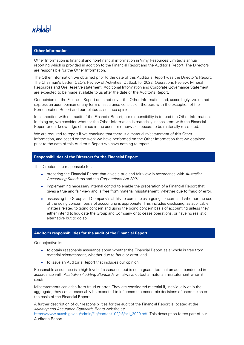

## **Other Information**

Other Information is financial and non-financial information in Vimy Resources Limited's annual reporting which is provided in addition to the Financial Report and the Auditor's Report. The Directors are responsible for the Other Information.

The Other Information we obtained prior to the date of this Auditor's Report was the Director's Report. The Chairman's Letter, CEO's Review of Activities, Outlook for 2022, Operations Review, Mineral Resources and Ore Reserve statement, Additional Information and Corporate Governance Statement are expected to be made available to us after the date of the Auditor's Report.

Our opinion on the Financial Report does not cover the Other Information and, accordingly, we do not express an audit opinion or any form of assurance conclusion thereon, with the exception of the Remuneration Report and our related assurance opinion.

In connection with our audit of the Financial Report, our responsibility is to read the Other Information. In doing so, we consider whether the Other Information is materially inconsistent with the Financial Report or our knowledge obtained in the audit, or otherwise appears to be materially misstated.

We are required to report if we conclude that there is a material misstatement of this Other Information, and based on the work we have performed on the Other Information that we obtained prior to the date of this Auditor's Report we have nothing to report.

### **Responsibilities of the Directors for the Financial Report**

The Directors are responsible for:

- preparing the Financial Report that gives a true and fair view in accordance with Australian Accounting Standards and the Corporations Act 2001.
- implementing necessary internal control to enable the preparation of a Financial Report that gives a true and fair view and is free from material misstatement, whether due to fraud or error.
- assessing the Group and Company's ability to continue as a going concern and whether the use of the going concern basis of accounting is appropriate. This includes disclosing, as applicable, matters related to going concern and using the going concern basis of accounting unless they either intend to liquidate the Group and Company or to cease operations, or have no realistic alternative but to do so.

### **Auditor's responsibilities for the audit of the Financial Report**

Our objective is:

- to obtain reasonable assurance about whether the Financial Report as a whole is free from material misstatement, whether due to fraud or error; and
- to issue an Auditor's Report that includes our opinion.

Reasonable assurance is a high level of assurance, but is not a guarantee that an audit conducted in accordance with Australian Auditing Standards will always detect a material misstatement when it exists.

Misstatements can arise from fraud or error. They are considered material if, individually or in the aggregate, they could reasonably be expected to influence the economic decisions of users taken on the basis of the Financial Report.

A further description of our responsibilities for the audit of the Financial Report is located at the Auditing and Assurance Standards Board website at:

[https://www.auasb.gov.au/admin/file/content102/c3/ar1\\_2020.pdf.](https://www.auasb.gov.au/admin/file/content102/c3/ar1_2020.pdf) This description forms part of our Auditor's Report.